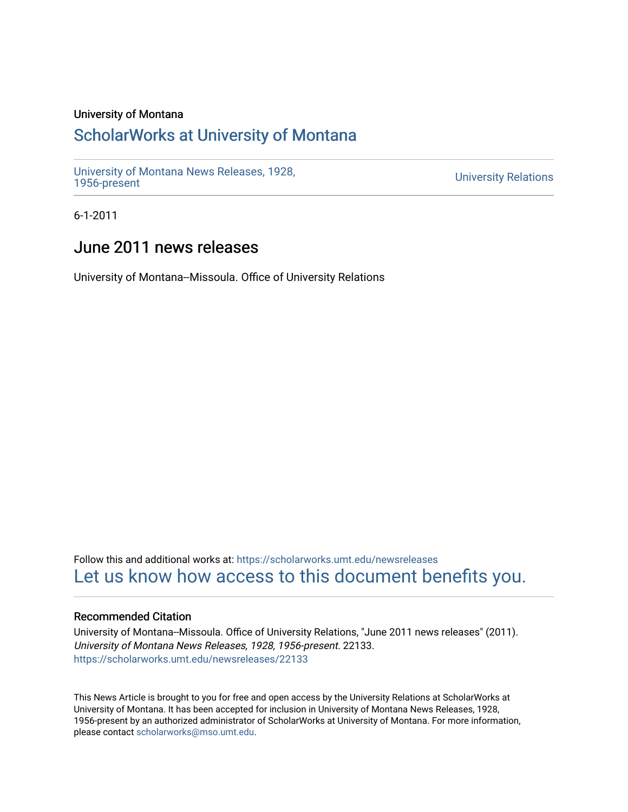# University of Montana

# [ScholarWorks at University of Montana](https://scholarworks.umt.edu/)

[University of Montana News Releases, 1928,](https://scholarworks.umt.edu/newsreleases) 

**University Relations** 

6-1-2011

# June 2011 news releases

University of Montana--Missoula. Office of University Relations

Follow this and additional works at: [https://scholarworks.umt.edu/newsreleases](https://scholarworks.umt.edu/newsreleases?utm_source=scholarworks.umt.edu%2Fnewsreleases%2F22133&utm_medium=PDF&utm_campaign=PDFCoverPages) [Let us know how access to this document benefits you.](https://goo.gl/forms/s2rGfXOLzz71qgsB2) 

# Recommended Citation

University of Montana--Missoula. Office of University Relations, "June 2011 news releases" (2011). University of Montana News Releases, 1928, 1956-present. 22133. [https://scholarworks.umt.edu/newsreleases/22133](https://scholarworks.umt.edu/newsreleases/22133?utm_source=scholarworks.umt.edu%2Fnewsreleases%2F22133&utm_medium=PDF&utm_campaign=PDFCoverPages) 

This News Article is brought to you for free and open access by the University Relations at ScholarWorks at University of Montana. It has been accepted for inclusion in University of Montana News Releases, 1928, 1956-present by an authorized administrator of ScholarWorks at University of Montana. For more information, please contact [scholarworks@mso.umt.edu.](mailto:scholarworks@mso.umt.edu)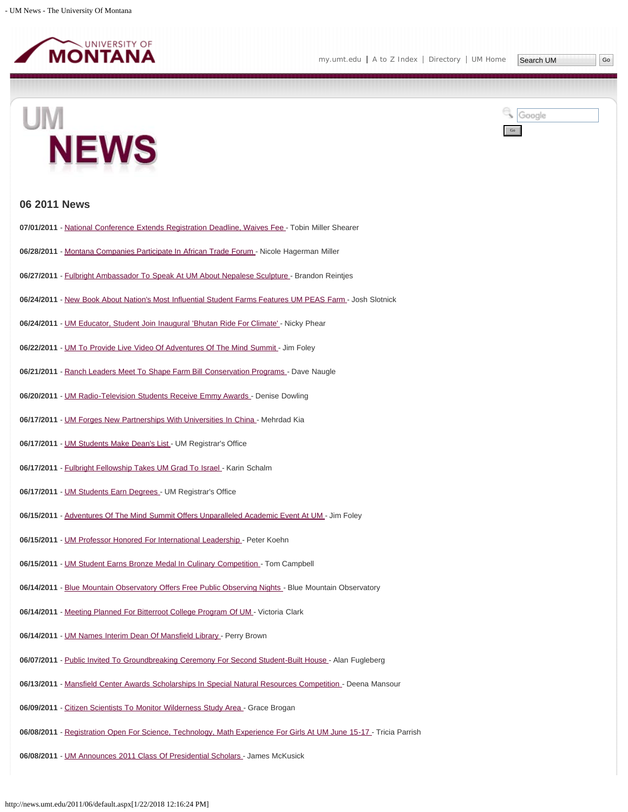

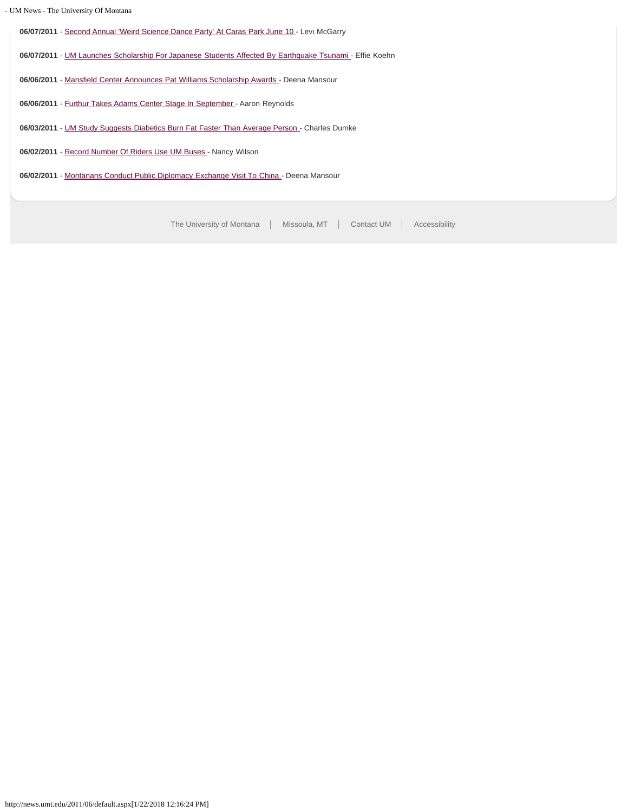**06/07/2011** - [Second Annual 'Weird Science Dance Party' At Caras Park June 10 -](#page-33-0) Levi McGarry **06/07/2011** - [UM Launches Scholarship For Japanese Students Affected By Earthquake Tsunami](#page-34-0) - Effie Koehn **06/06/2011** - [Mansfield Center Announces Pat Williams Scholarship Awards -](#page-35-0) Deena Mansour 06/06/2011 - [Furthur Takes Adams Center Stage In September](#page-37-0) - Aaron Reynolds 06/03/2011 - [UM Study Suggests Diabetics Burn Fat Faster Than Average Person](#page-38-0) - Charles Dumke **06/02/2011** - [Record Number Of Riders Use UM Buses](#page-39-0) - Nancy Wilson **06/02/2011** - [Montanans Conduct Public Diplomacy Exchange Visit To China](#page-40-0) - Deena Mansour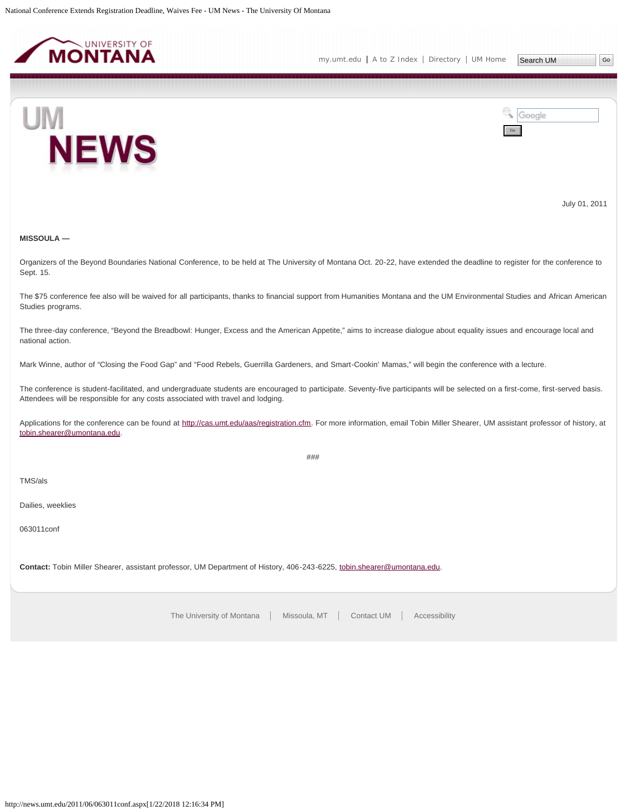<span id="page-3-0"></span>



July 01, 2011

# **MISSOULA —**

Organizers of the Beyond Boundaries National Conference, to be held at The University of Montana Oct. 20-22, have extended the deadline to register for the conference to Sept. 15.

The \$75 conference fee also will be waived for all participants, thanks to financial support from Humanities Montana and the UM Environmental Studies and African American Studies programs.

The three-day conference, "Beyond the Breadbowl: Hunger, Excess and the American Appetite," aims to increase dialogue about equality issues and encourage local and national action.

Mark Winne, author of "Closing the Food Gap" and "Food Rebels, Guerrilla Gardeners, and Smart-Cookin' Mamas," will begin the conference with a lecture.

The conference is student-facilitated, and undergraduate students are encouraged to participate. Seventy-five participants will be selected on a first-come, first-served basis. Attendees will be responsible for any costs associated with travel and lodging.

Applications for the conference can be found at [http://cas.umt.edu/aas/registration.cfm.](http://cas.umt.edu/aas/registration.cfm) For more information, email Tobin Miller Shearer, UM assistant professor of history, at [tobin.shearer@umontana.edu](mailto:tobin.shearer@umontana.edu).

###

TMS/als

Dailies, weeklies

063011conf

**Contact:** Tobin Miller Shearer, assistant professor, UM Department of History, 406-243-6225, [tobin.shearer@umontana.edu](mailto:tobin.shearer@umontana.edu).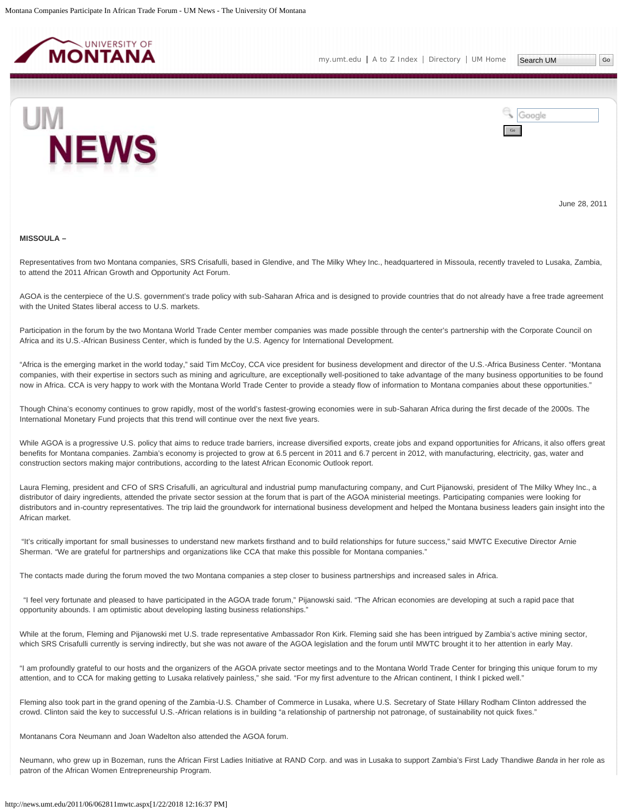<span id="page-4-0"></span>



June 28, 2011

#### **MISSOULA –**

Representatives from two Montana companies, SRS Crisafulli, based in Glendive, and The Milky Whey Inc., headquartered in Missoula, recently traveled to Lusaka, Zambia, to attend the 2011 African Growth and Opportunity Act Forum.

AGOA is the centerpiece of the U.S. government's trade policy with sub-Saharan Africa and is designed to provide countries that do not already have a free trade agreement with the United States liberal access to U.S. markets.

Participation in the forum by the two Montana World Trade Center member companies was made possible through the center's partnership with the Corporate Council on Africa and its U.S.-African Business Center, which is funded by the U.S. Agency for International Development.

"Africa is the emerging market in the world today," said Tim McCoy, CCA vice president for business development and director of the U.S.-Africa Business Center. "Montana companies, with their expertise in sectors such as mining and agriculture, are exceptionally well-positioned to take advantage of the many business opportunities to be found now in Africa. CCA is very happy to work with the Montana World Trade Center to provide a steady flow of information to Montana companies about these opportunities."

Though China's economy continues to grow rapidly, most of the world's fastest-growing economies were in sub-Saharan Africa during the first decade of the 2000s. The International Monetary Fund projects that this trend will continue over the next five years.

While AGOA is a progressive U.S. policy that aims to reduce trade barriers, increase diversified exports, create jobs and expand opportunities for Africans, it also offers great benefits for Montana companies. Zambia's economy is projected to grow at 6.5 percent in 2011 and 6.7 percent in 2012, with manufacturing, electricity, gas, water and construction sectors making major contributions, according to the latest African Economic Outlook report.

Laura Fleming, president and CFO of SRS Crisafulli, an agricultural and industrial pump manufacturing company, and Curt Pijanowski, president of The Milky Whey Inc., a distributor of dairy ingredients, attended the private sector session at the forum that is part of the AGOA ministerial meetings. Participating companies were looking for distributors and in-country representatives. The trip laid the groundwork for international business development and helped the Montana business leaders gain insight into the African market.

"It's critically important for small businesses to understand new markets firsthand and to build relationships for future success," said MWTC Executive Director Arnie Sherman. "We are grateful for partnerships and organizations like CCA that make this possible for Montana companies."

The contacts made during the forum moved the two Montana companies a step closer to business partnerships and increased sales in Africa.

 "I feel very fortunate and pleased to have participated in the AGOA trade forum," Pijanowski said. "The African economies are developing at such a rapid pace that opportunity abounds. I am optimistic about developing lasting business relationships."

While at the forum, Fleming and Pijanowski met U.S. trade representative Ambassador Ron Kirk. Fleming said she has been intrigued by Zambia's active mining sector, which SRS Crisafulli currently is serving indirectly, but she was not aware of the AGOA legislation and the forum until MWTC brought it to her attention in early May.

"I am profoundly grateful to our hosts and the organizers of the AGOA private sector meetings and to the Montana World Trade Center for bringing this unique forum to my attention, and to CCA for making getting to Lusaka relatively painless," she said. "For my first adventure to the African continent, I think I picked well."

Fleming also took part in the grand opening of the Zambia-U.S. Chamber of Commerce in Lusaka, where U.S. Secretary of State Hillary Rodham Clinton addressed the crowd. Clinton said the key to successful U.S.-African relations is in building "a relationship of partnership not patronage, of sustainability not quick fixes."

Montanans Cora Neumann and Joan Wadelton also attended the AGOA forum.

Neumann, who grew up in Bozeman, runs the African First Ladies Initiative at RAND Corp. and was in Lusaka to support Zambia's First Lady Thandiwe *Banda* in her role as patron of the African Women Entrepreneurship Program.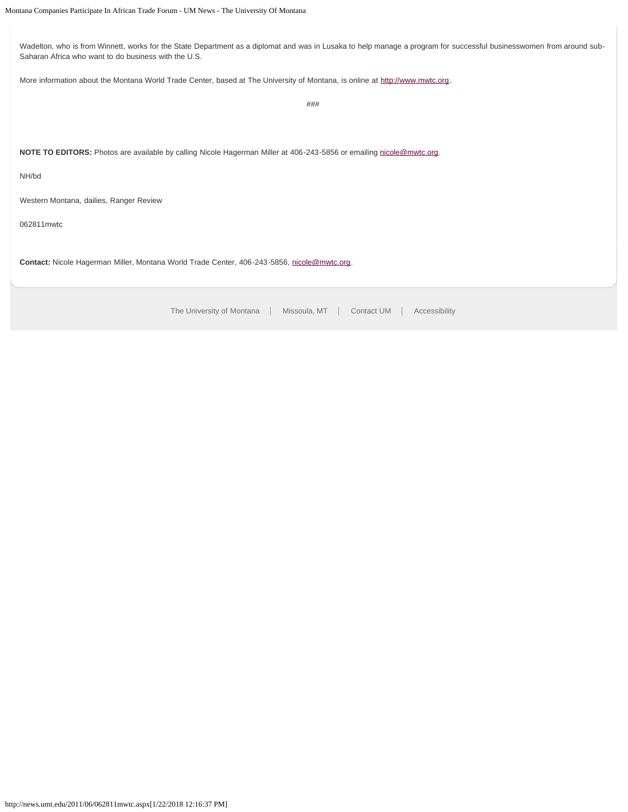Wadelton, who is from Winnett, works for the State Department as a diplomat and was in Lusaka to help manage a program for successful businesswomen from around sub-Saharan Africa who want to do business with the U.S. More information about the Montana World Trade Center, based at The University of Montana, is online at [http://www.mwtc.org](http://www.mwtc.org/). ### **NOTE TO EDITORS:** Photos are available by calling Nicole Hagerman Miller at 406-243-5856 or emailing [nicole@mwtc.org.](mailto:nicole@mwtc.org) NH/bd

Western Montana, dailies, Ranger Review

062811mwtc

Contact: Nicole Hagerman Miller, Montana World Trade Center, 406-243-5856, [nicole@mwtc.org](mailto:nicole@mwtc.org).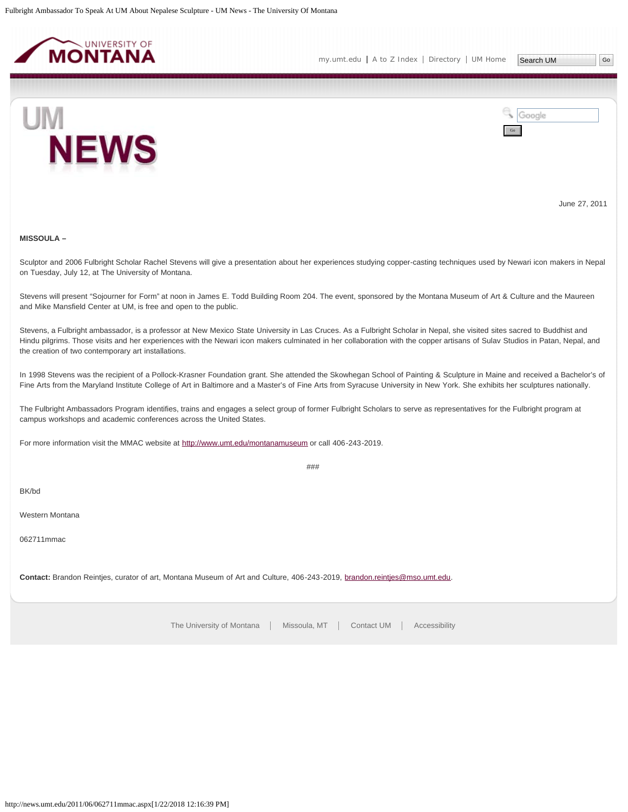<span id="page-6-0"></span>



June 27, 2011

# **MISSOULA –**

Sculptor and 2006 Fulbright Scholar Rachel Stevens will give a presentation about her experiences studying copper-casting techniques used by Newari icon makers in Nepal on Tuesday, July 12, at The University of Montana.

Stevens will present "Sojourner for Form" at noon in James E. Todd Building Room 204. The event, sponsored by the Montana Museum of Art & Culture and the Maureen and Mike Mansfield Center at UM, is free and open to the public.

Stevens, a Fulbright ambassador, is a professor at New Mexico State University in Las Cruces. As a Fulbright Scholar in Nepal, she visited sites sacred to Buddhist and Hindu pilgrims. Those visits and her experiences with the Newari icon makers culminated in her collaboration with the copper artisans of Sulav Studios in Patan, Nepal, and the creation of two contemporary art installations.

In 1998 Stevens was the recipient of a Pollock-Krasner Foundation grant. She attended the Skowhegan School of Painting & Sculpture in Maine and received a Bachelor's of Fine Arts from the Maryland Institute College of Art in Baltimore and a Master's of Fine Arts from Syracuse University in New York. She exhibits her sculptures nationally.

The Fulbright Ambassadors Program identifies, trains and engages a select group of former Fulbright Scholars to serve as representatives for the Fulbright program at campus workshops and academic conferences across the United States.

For more information visit the MMAC website at <http://www.umt.edu/montanamuseum>or call 406-243-2019.

 $###$ 

BK/bd

Western Montana

062711mmac

**Contact:** Brandon Reintjes, curator of art, Montana Museum of Art and Culture, 406-243-2019, [brandon.reintjes@mso.umt.edu.](mailto:brandon.reintjes@mso.umt.edu)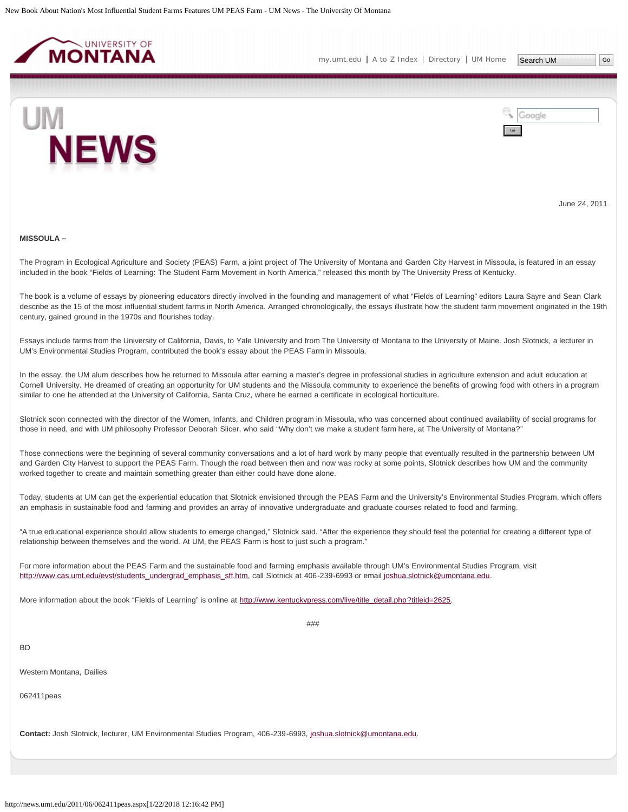<span id="page-7-0"></span>

[my.umt.edu](http://my.umt.edu/) | [A to Z Index](http://www.umt.edu/search/atoz/) | [Directory](http://www.umt.edu/directory/) | [UM Home](http://www.umt.edu/)

Search UM



Google Go

June 24, 2011

#### **MISSOULA –**

The Program in Ecological Agriculture and Society (PEAS) Farm, a joint project of The University of Montana and Garden City Harvest in Missoula, is featured in an essay included in the book "Fields of Learning: The Student Farm Movement in North America," released this month by The University Press of Kentucky.

The book is a volume of essays by pioneering educators directly involved in the founding and management of what "Fields of Learning" editors Laura Sayre and Sean Clark describe as the 15 of the most influential student farms in North America. Arranged chronologically, the essays illustrate how the student farm movement originated in the 19th century, gained ground in the 1970s and flourishes today.

Essays include farms from the University of California, Davis, to Yale University and from The University of Montana to the University of Maine. Josh Slotnick, a lecturer in UM's Environmental Studies Program, contributed the book's essay about the PEAS Farm in Missoula.

In the essay, the UM alum describes how he returned to Missoula after earning a master's degree in professional studies in agriculture extension and adult education at Cornell University. He dreamed of creating an opportunity for UM students and the Missoula community to experience the benefits of growing food with others in a program similar to one he attended at the University of California, Santa Cruz, where he earned a certificate in ecological horticulture.

Slotnick soon connected with the director of the Women, Infants, and Children program in Missoula, who was concerned about continued availability of social programs for those in need, and with UM philosophy Professor Deborah Slicer, who said "Why don't we make a student farm here, at The University of Montana?"

Those connections were the beginning of several community conversations and a lot of hard work by many people that eventually resulted in the partnership between UM and Garden City Harvest to support the PEAS Farm. Though the road between then and now was rocky at some points, Slotnick describes how UM and the community worked together to create and maintain something greater than either could have done alone.

Today, students at UM can get the experiential education that Slotnick envisioned through the PEAS Farm and the University's Environmental Studies Program, which offers an emphasis in sustainable food and farming and provides an array of innovative undergraduate and graduate courses related to food and farming.

"A true educational experience should allow students to emerge changed," Slotnick said. "After the experience they should feel the potential for creating a different type of relationship between themselves and the world. At UM, the PEAS Farm is host to just such a program."

For more information about the PEAS Farm and the sustainable food and farming emphasis available through UM's Environmental Studies Program, visit [http://www.cas.umt.edu/evst/students\\_undergrad\\_emphasis\\_sff.htm,](http://www.cas.umt.edu/evst/students_undergrad_emphasis_sff.htm) call Slotnick at 406-239-6993 or email [joshua.slotnick@umontana.edu.](mailto:joshua.slotnick@umontana.edu)

More information about the book "Fields of Learning" is online at [http://www.kentuckypress.com/live/title\\_detail.php?titleid=2625.](http://www.kentuckypress.com/live/title_detail.php?titleid=2625)

###

BD

Western Montana, Dailies

062411peas

**Contact:** Josh Slotnick, lecturer, UM Environmental Studies Program, 406-239-6993, [joshua.slotnick@umontana.edu.](mailto:joshua.slotnick@umontana.edu)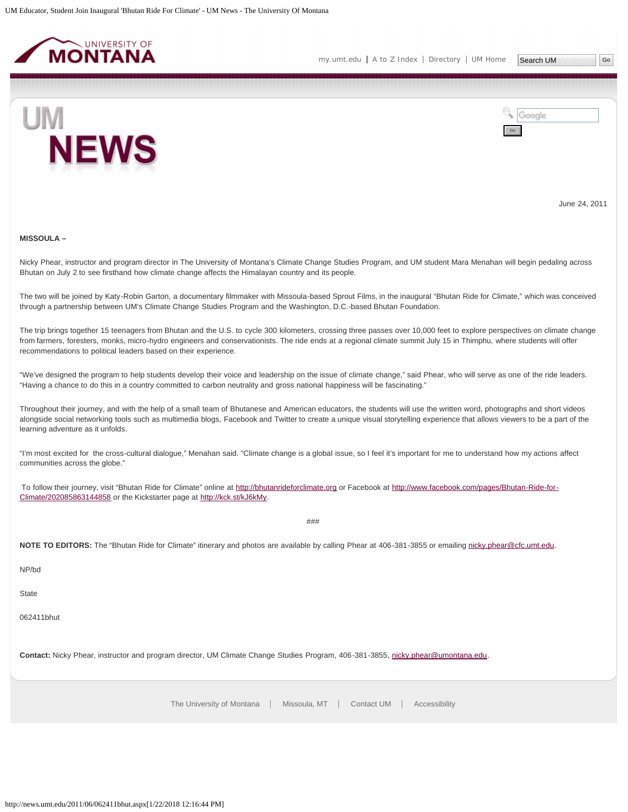<span id="page-9-0"></span>



June 24, 2011

#### **MISSOULA –**

Nicky Phear, instructor and program director in The University of Montana's Climate Change Studies Program, and UM student Mara Menahan will begin pedaling across Bhutan on July 2 to see firsthand how climate change affects the Himalayan country and its people.

The two will be joined by Katy-Robin Garton, a documentary filmmaker with Missoula-based Sprout Films, in the inaugural "Bhutan Ride for Climate," which was conceived through a partnership between UM's Climate Change Studies Program and the Washington, D.C.-based Bhutan Foundation.

The trip brings together 15 teenagers from Bhutan and the U.S. to cycle 300 kilometers, crossing three passes over 10,000 feet to explore perspectives on climate change from farmers, foresters, monks, micro-hydro engineers and conservationists. The ride ends at a regional climate summit July 15 in Thimphu, where students will offer recommendations to political leaders based on their experience.

"We've designed the program to help students develop their voice and leadership on the issue of climate change," said Phear, who will serve as one of the ride leaders. "Having a chance to do this in a country committed to carbon neutrality and gross national happiness will be fascinating."

Throughout their journey, and with the help of a small team of Bhutanese and American educators, the students will use the written word, photographs and short videos alongside social networking tools such as multimedia blogs, Facebook and Twitter to create a unique visual storytelling experience that allows viewers to be a part of the learning adventure as it unfolds.

"I'm most excited for the cross-cultural dialogue," Menahan said. "Climate change is a global issue, so I feel it's important for me to understand how my actions affect communities across the globe."

To follow their journey, visit "Bhutan Ride for Climate" online at [http://bhutanrideforclimate.org](http://bhutanrideforclimate.org/) or Facebook at [http://www.facebook.com/pages/Bhutan-Ride-for-](http://www.facebook.com/pages/Bhutan-Ride-for-Climate/202085863144858)[Climate/202085863144858](http://www.facebook.com/pages/Bhutan-Ride-for-Climate/202085863144858) or the Kickstarter page at [http://kck.st/kJ6kMy.](http://kck.st/kJ6kMy)

###

NOTE TO EDITORS: The "Bhutan Ride for Climate" itinerary and photos are available by calling Phear at 406-381-3855 or emailing [nicky.phear@cfc.umt.edu.](mailto:nicky.phear@cfc.umt.edu)

NP/bd

**State** 

062411bhut

Contact: Nicky Phear, instructor and program director, UM Climate Change Studies Program, 406-381-3855, [nicky.phear@umontana.edu](mailto:nicky.phear@umontana.edu).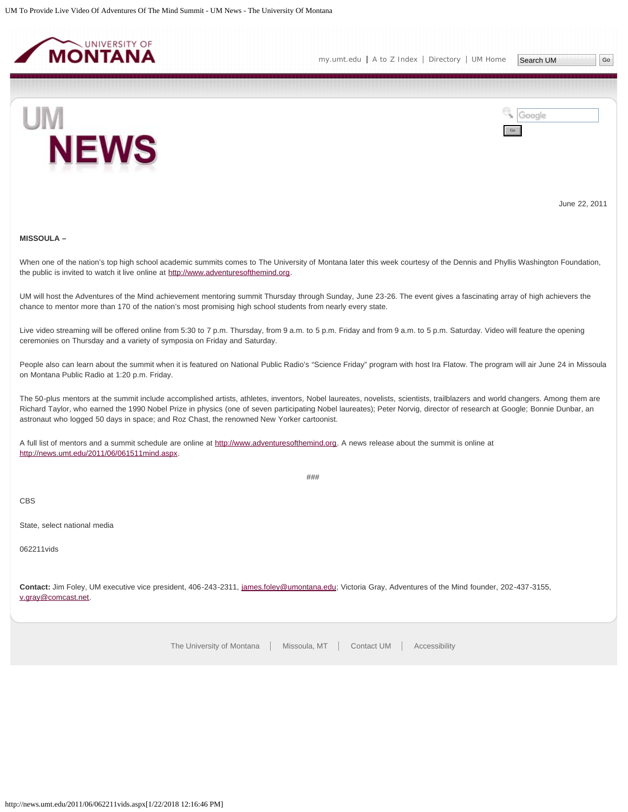<span id="page-10-0"></span>



June 22, 2011

# **MISSOULA –**

When one of the nation's top high school academic summits comes to The University of Montana later this week courtesy of the Dennis and Phyllis Washington Foundation, the public is invited to watch it live online at [http://www.adventuresofthemind.org](http://www.adventuresofthemind.org/).

UM will host the Adventures of the Mind achievement mentoring summit Thursday through Sunday, June 23-26. The event gives a fascinating array of high achievers the chance to mentor more than 170 of the nation's most promising high school students from nearly every state.

Live video streaming will be offered online from 5:30 to 7 p.m. Thursday, from 9 a.m. to 5 p.m. Friday and from 9 a.m. to 5 p.m. Saturday. Video will feature the opening ceremonies on Thursday and a variety of symposia on Friday and Saturday.

People also can learn about the summit when it is featured on National Public Radio's "Science Friday" program with host Ira Flatow. The program will air June 24 in Missoula on Montana Public Radio at 1:20 p.m. Friday.

The 50-plus mentors at the summit include accomplished artists, athletes, inventors, Nobel laureates, novelists, scientists, trailblazers and world changers. Among them are Richard Taylor, who earned the 1990 Nobel Prize in physics (one of seven participating Nobel laureates); Peter Norvig, director of research at Google; Bonnie Dunbar, an astronaut who logged 50 days in space; and Roz Chast, the renowned New Yorker cartoonist.

A full list of mentors and a summit schedule are online at [http://www.adventuresofthemind.org.](http://www.adventuresofthemind.org/) A news release about the summit is online at [http://news.umt.edu/2011/06/061511mind.aspx](#page-18-0).

###

CBS

State, select national media

062211vids

**Contact:** Jim Foley, UM executive vice president, 406-243-2311, [james.foley@umontana.edu](mailto:james.foley@umontana.edu); Victoria Gray, Adventures of the Mind founder, 202-437-3155, [v.gray@comcast.net](mailto:v.gray@comcast.net).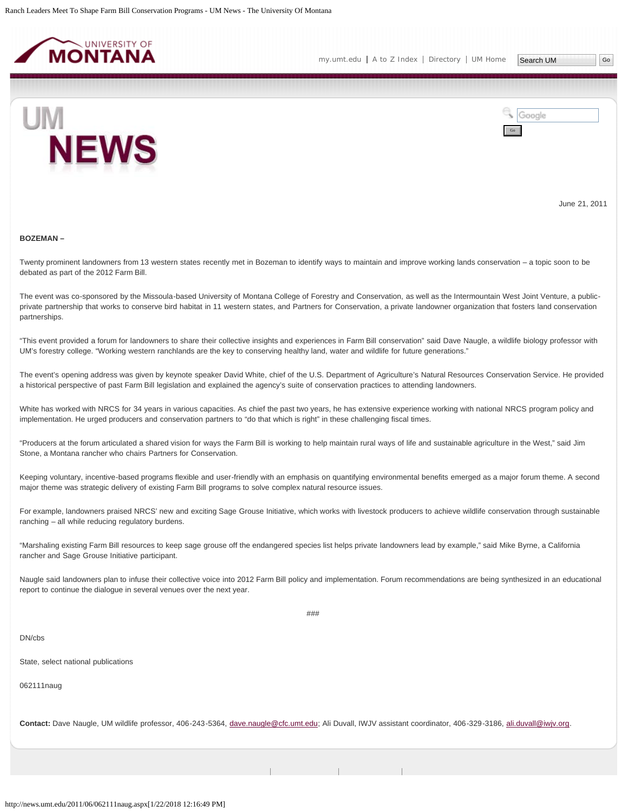<span id="page-11-0"></span>



June 21, 2011

#### **BOZEMAN –**

Twenty prominent landowners from 13 western states recently met in Bozeman to identify ways to maintain and improve working lands conservation – a topic soon to be debated as part of the 2012 Farm Bill.

The event was co-sponsored by the Missoula-based University of Montana College of Forestry and Conservation, as well as the Intermountain West Joint Venture, a publicprivate partnership that works to conserve bird habitat in 11 western states, and Partners for Conservation, a private landowner organization that fosters land conservation partnerships.

"This event provided a forum for landowners to share their collective insights and experiences in Farm Bill conservation" said Dave Naugle, a wildlife biology professor with UM's forestry college. "Working western ranchlands are the key to conserving healthy land, water and wildlife for future generations."

The event's opening address was given by keynote speaker David White, chief of the U.S. Department of Agriculture's Natural Resources Conservation Service. He provided a historical perspective of past Farm Bill legislation and explained the agency's suite of conservation practices to attending landowners.

White has worked with NRCS for 34 years in various capacities. As chief the past two years, he has extensive experience working with national NRCS program policy and implementation. He urged producers and conservation partners to "do that which is right" in these challenging fiscal times.

"Producers at the forum articulated a shared vision for ways the Farm Bill is working to help maintain rural ways of life and sustainable agriculture in the West," said Jim Stone, a Montana rancher who chairs Partners for Conservation.

Keeping voluntary, incentive-based programs flexible and user-friendly with an emphasis on quantifying environmental benefits emerged as a major forum theme. A second major theme was strategic delivery of existing Farm Bill programs to solve complex natural resource issues.

For example, landowners praised NRCS' new and exciting Sage Grouse Initiative, which works with livestock producers to achieve wildlife conservation through sustainable ranching – all while reducing regulatory burdens.

"Marshaling existing Farm Bill resources to keep sage grouse off the endangered species list helps private landowners lead by example," said Mike Byrne, a California rancher and Sage Grouse Initiative participant.

Naugle said landowners plan to infuse their collective voice into 2012 Farm Bill policy and implementation. Forum recommendations are being synthesized in an educational report to continue the dialogue in several venues over the next year.

###

# DN/cbs

State, select national publications

062111naug

**Contact:** Dave Naugle, UM wildlife professor, 406-243-5364, [dave.naugle@cfc.umt.edu](mailto:dave.naugle@cfc.umt.edu); Ali Duvall, IWJV assistant coordinator, 406-329-3186, [ali.duvall@iwjv.org.](mailto:ali.duvall@iwjv.org)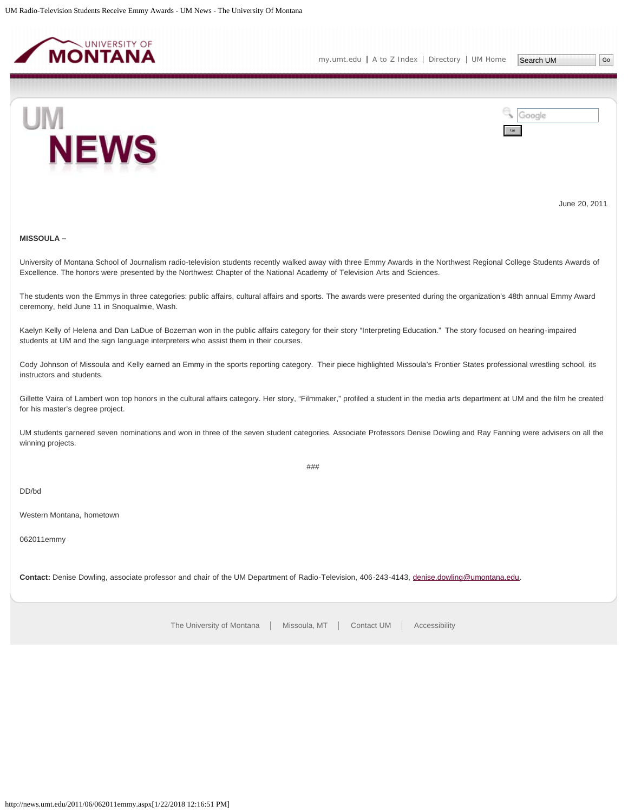<span id="page-13-0"></span>



June 20, 2011

# **MISSOULA –**

University of Montana School of Journalism radio-television students recently walked away with three Emmy Awards in the Northwest Regional College Students Awards of Excellence. The honors were presented by the Northwest Chapter of the National Academy of Television Arts and Sciences.

The students won the Emmys in three categories: public affairs, cultural affairs and sports. The awards were presented during the organization's 48th annual Emmy Award ceremony, held June 11 in Snoqualmie, Wash.

Kaelyn Kelly of Helena and Dan LaDue of Bozeman won in the public affairs category for their story "Interpreting Education." The story focused on hearing-impaired students at UM and the sign language interpreters who assist them in their courses.

Cody Johnson of Missoula and Kelly earned an Emmy in the sports reporting category. Their piece highlighted Missoula's Frontier States professional wrestling school, its instructors and students.

Gillette Vaira of Lambert won top honors in the cultural affairs category. Her story, "Filmmaker," profiled a student in the media arts department at UM and the film he created for his master's degree project.

UM students garnered seven nominations and won in three of the seven student categories. Associate Professors Denise Dowling and Ray Fanning were advisers on all the winning projects.

###

DD/bd

Western Montana, hometown

062011emmy

**Contact:** Denise Dowling, associate professor and chair of the UM Department of Radio-Television, 406-243-4143, [denise.dowling@umontana.edu.](mailto:denise.dowling@umontana.edu)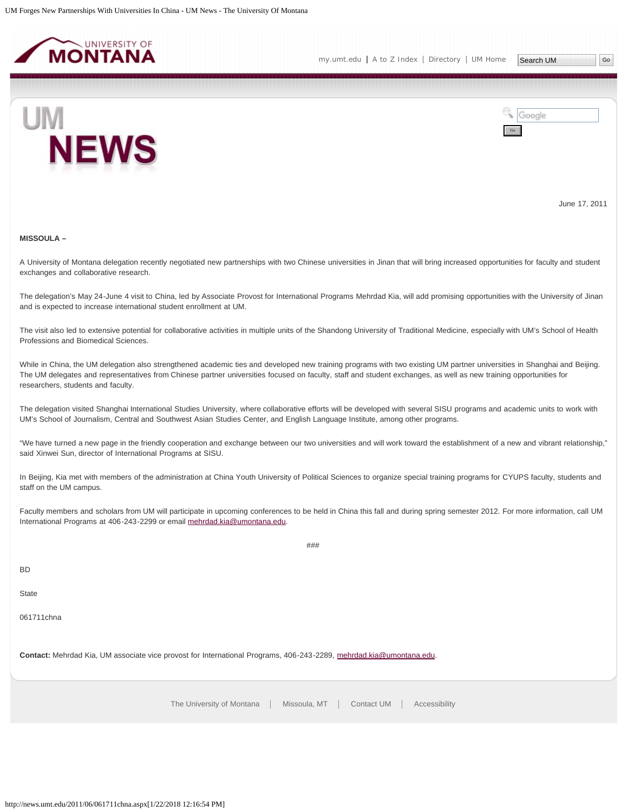<span id="page-14-0"></span>



June 17, 2011

#### **MISSOULA –**

A University of Montana delegation recently negotiated new partnerships with two Chinese universities in Jinan that will bring increased opportunities for faculty and student exchanges and collaborative research.

The delegation's May 24-June 4 visit to China, led by Associate Provost for International Programs Mehrdad Kia, will add promising opportunities with the University of Jinan and is expected to increase international student enrollment at UM.

The visit also led to extensive potential for collaborative activities in multiple units of the Shandong University of Traditional Medicine, especially with UM's School of Health Professions and Biomedical Sciences.

While in China, the UM delegation also strengthened academic ties and developed new training programs with two existing UM partner universities in Shanghai and Beijing. The UM delegates and representatives from Chinese partner universities focused on faculty, staff and student exchanges, as well as new training opportunities for researchers, students and faculty.

The delegation visited Shanghai International Studies University, where collaborative efforts will be developed with several SISU programs and academic units to work with UM's School of Journalism, Central and Southwest Asian Studies Center, and English Language Institute, among other programs.

"We have turned a new page in the friendly cooperation and exchange between our two universities and will work toward the establishment of a new and vibrant relationship," said Xinwei Sun, director of International Programs at SISU.

In Beijing, Kia met with members of the administration at China Youth University of Political Sciences to organize special training programs for CYUPS faculty, students and staff on the UM campus.

Faculty members and scholars from UM will participate in upcoming conferences to be held in China this fall and during spring semester 2012. For more information, call UM International Programs at 406-243-2299 or email [mehrdad.kia@umontana.edu.](mailto:mehrdad.kia@umontana.edu)

###

BD

**State** 

061711chna

**Contact:** Mehrdad Kia, UM associate vice provost for International Programs, 406-243-2289, [mehrdad.kia@umontana.edu.](mailto:mehrdad.kia@umontana.edu)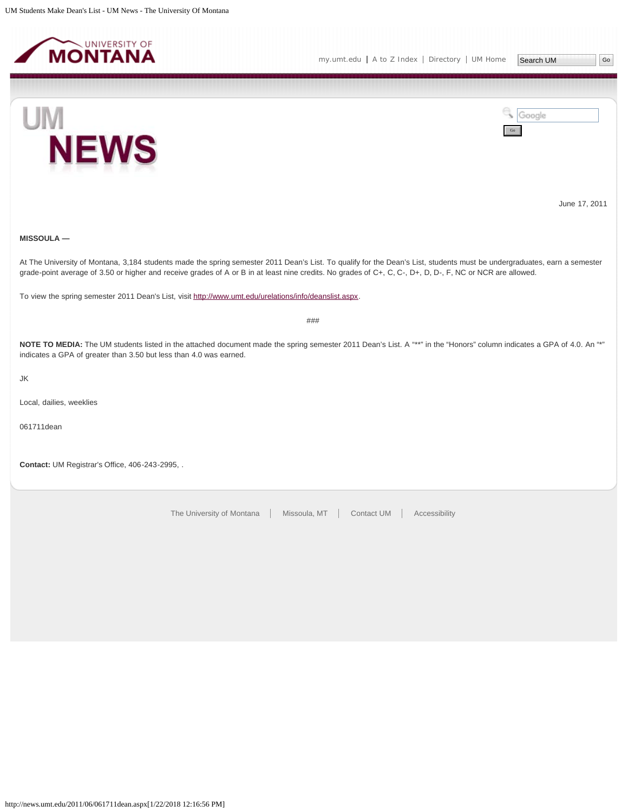<span id="page-15-0"></span>

Go

Google





June 17, 2011

# **MISSOULA —**

At The University of Montana, 3,184 students made the spring semester 2011 Dean's List. To qualify for the Dean's List, students must be undergraduates, earn a semester grade-point average of 3.50 or higher and receive grades of A or B in at least nine credits. No grades of C+, C, C-, D+, D, D-, F, NC or NCR are allowed.

To view the spring semester 2011 Dean's List, visit [http://www.umt.edu/urelations/info/deanslist.aspx.](http://www.umt.edu/urelations/info/deanslist.aspx)

###

NOTE TO MEDIA: The UM students listed in the attached document made the spring semester 2011 Dean's List. A "\*\*" in the "Honors" column indicates a GPA of 4.0. An "\*" indicates a GPA of greater than 3.50 but less than 4.0 was earned.

JK

Local, dailies, weeklies

061711dean

**Contact:** UM Registrar's Office, 406-243-2995, .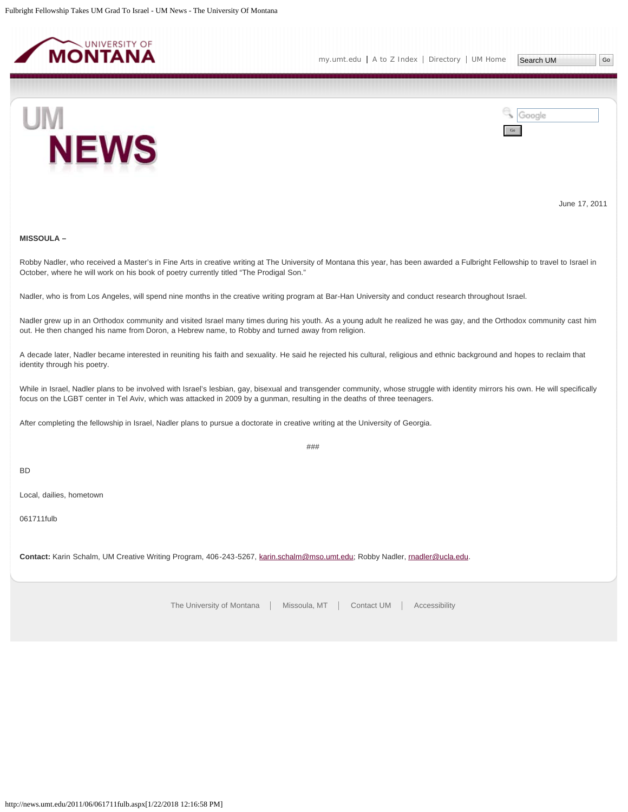<span id="page-16-0"></span>



June 17, 2011

# **MISSOULA –**

Robby Nadler, who received a Master's in Fine Arts in creative writing at The University of Montana this year, has been awarded a Fulbright Fellowship to travel to Israel in October, where he will work on his book of poetry currently titled "The Prodigal Son."

Nadler, who is from Los Angeles, will spend nine months in the creative writing program at Bar-Han University and conduct research throughout Israel.

Nadler grew up in an Orthodox community and visited Israel many times during his youth. As a young adult he realized he was gay, and the Orthodox community cast him out. He then changed his name from Doron, a Hebrew name, to Robby and turned away from religion.

A decade later, Nadler became interested in reuniting his faith and sexuality. He said he rejected his cultural, religious and ethnic background and hopes to reclaim that identity through his poetry.

While in Israel, Nadler plans to be involved with Israel's lesbian, gay, bisexual and transgender community, whose struggle with identity mirrors his own. He will specifically focus on the LGBT center in Tel Aviv, which was attacked in 2009 by a gunman, resulting in the deaths of three teenagers.

###

After completing the fellowship in Israel, Nadler plans to pursue a doctorate in creative writing at the University of Georgia.

BD

Local, dailies, hometown

061711fulb

**Contact:** Karin Schalm, UM Creative Writing Program, 406-243-5267, [karin.schalm@mso.umt.edu;](mailto:karin.schalm@mso.umt.edu) Robby Nadler, [rnadler@ucla.edu.](mailto:rnadler@ucla.edu)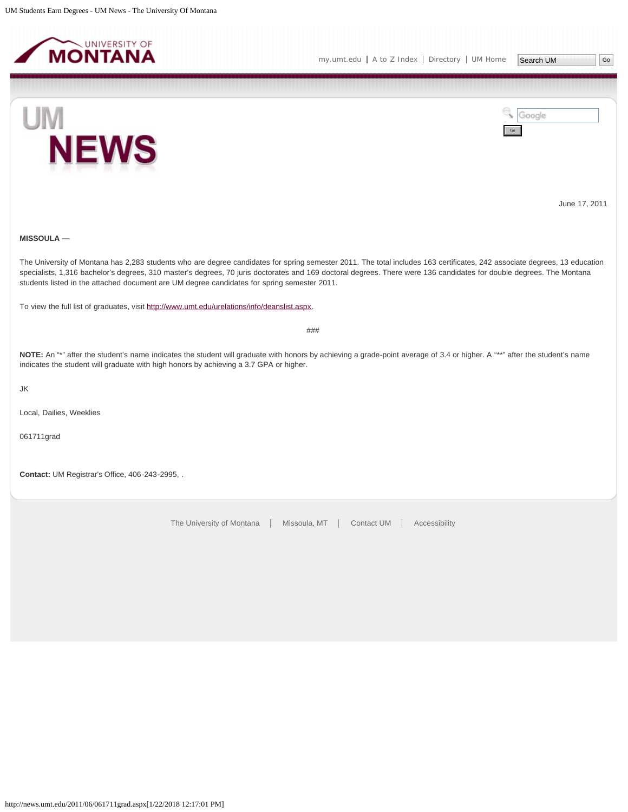<span id="page-17-0"></span>





June 17, 2011

# **MISSOULA —**

The University of Montana has 2,283 students who are degree candidates for spring semester 2011. The total includes 163 certificates, 242 associate degrees, 13 education specialists, 1,316 bachelor's degrees, 310 master's degrees, 70 juris doctorates and 169 doctoral degrees. There were 136 candidates for double degrees. The Montana students listed in the attached document are UM degree candidates for spring semester 2011.

To view the full list of graduates, visit <http://www.umt.edu/urelations/info/deanslist.aspx>.

###

NOTE: An "\*" after the student's name indicates the student will graduate with honors by achieving a grade-point average of 3.4 or higher. A "\*\*" after the student's name indicates the student will graduate with high honors by achieving a 3.7 GPA or higher.

JK

Local, Dailies, Weeklies

061711grad

**Contact:** UM Registrar's Office, 406-243-2995, .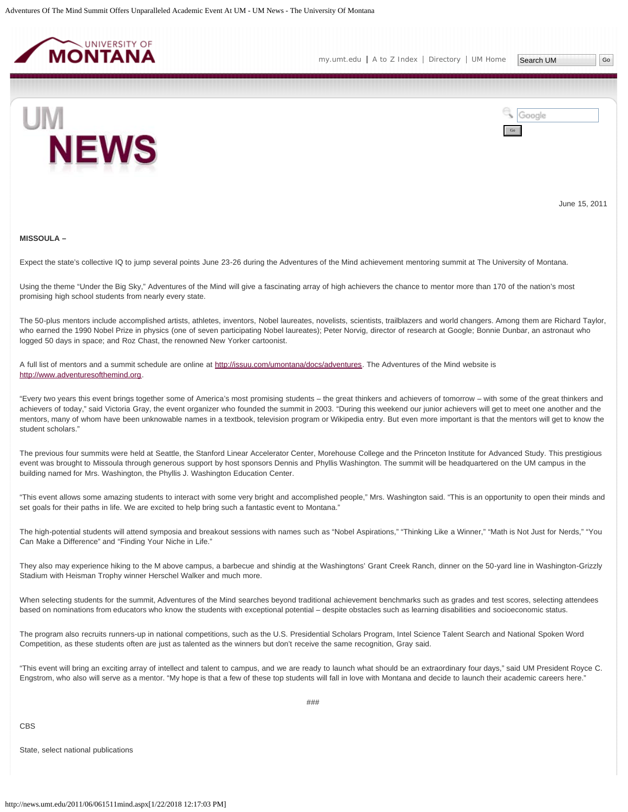<span id="page-18-0"></span>

[my.umt.edu](http://my.umt.edu/) | [A to Z Index](http://www.umt.edu/search/atoz/) | [Directory](http://www.umt.edu/directory/) | [UM Home](http://www.umt.edu/)



Google Go

June 15, 2011

#### **MISSOULA –**

Expect the state's collective IQ to jump several points June 23-26 during the Adventures of the Mind achievement mentoring summit at The University of Montana.

Using the theme "Under the Big Sky," Adventures of the Mind will give a fascinating array of high achievers the chance to mentor more than 170 of the nation's most promising high school students from nearly every state.

The 50-plus mentors include accomplished artists, athletes, inventors, Nobel laureates, novelists, scientists, trailblazers and world changers. Among them are Richard Taylor, who earned the 1990 Nobel Prize in physics (one of seven participating Nobel laureates); Peter Norvig, director of research at Google; Bonnie Dunbar, an astronaut who logged 50 days in space; and Roz Chast, the renowned New Yorker cartoonist.

# A full list of mentors and a summit schedule are online at [http://issuu.com/umontana/docs/adventures.](http://issuu.com/umontana/docs/adventures) The Adventures of the Mind website is [http://www.adventuresofthemind.org](http://www.adventuresofthemind.org/).

"Every two years this event brings together some of America's most promising students – the great thinkers and achievers of tomorrow – with some of the great thinkers and achievers of today," said Victoria Gray, the event organizer who founded the summit in 2003. "During this weekend our junior achievers will get to meet one another and the mentors, many of whom have been unknowable names in a textbook, television program or Wikipedia entry. But even more important is that the mentors will get to know the student scholars."

The previous four summits were held at Seattle, the Stanford Linear Accelerator Center, Morehouse College and the Princeton Institute for Advanced Study. This prestigious event was brought to Missoula through generous support by host sponsors Dennis and Phyllis Washington. The summit will be headquartered on the UM campus in the building named for Mrs. Washington, the Phyllis J. Washington Education Center.

"This event allows some amazing students to interact with some very bright and accomplished people," Mrs. Washington said. "This is an opportunity to open their minds and set goals for their paths in life. We are excited to help bring such a fantastic event to Montana."

The high-potential students will attend symposia and breakout sessions with names such as "Nobel Aspirations," "Thinking Like a Winner," "Math is Not Just for Nerds," "You Can Make a Difference" and "Finding Your Niche in Life."

They also may experience hiking to the M above campus, a barbecue and shindig at the Washingtons' Grant Creek Ranch, dinner on the 50-yard line in Washington-Grizzly Stadium with Heisman Trophy winner Herschel Walker and much more.

When selecting students for the summit, Adventures of the Mind searches beyond traditional achievement benchmarks such as grades and test scores, selecting attendees based on nominations from educators who know the students with exceptional potential – despite obstacles such as learning disabilities and socioeconomic status.

The program also recruits runners-up in national competitions, such as the U.S. Presidential Scholars Program, Intel Science Talent Search and National Spoken Word Competition, as these students often are just as talented as the winners but don't receive the same recognition, Gray said.

"This event will bring an exciting array of intellect and talent to campus, and we are ready to launch what should be an extraordinary four days," said UM President Royce C. Engstrom, who also will serve as a mentor. "My hope is that a few of these top students will fall in love with Montana and decide to launch their academic careers here."

CBS

State, select national publications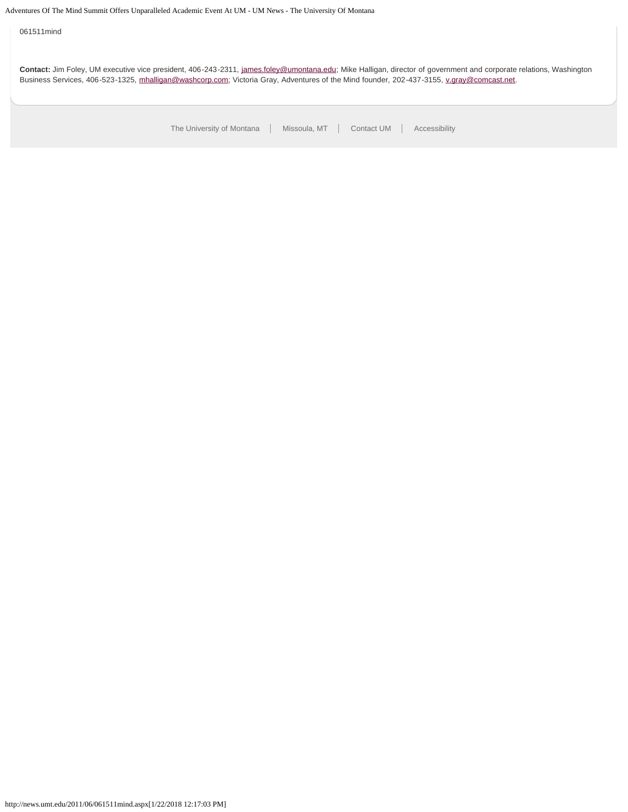061511mind

**Contact:** Jim Foley, UM executive vice president, 406-243-2311, [james.foley@umontana.edu](mailto:james.foley@umontana.edu); Mike Halligan, director of government and corporate relations, Washington Business Services, 406-523-1325, [mhalligan@washcorp.com;](mailto:mhalligan@washcorp.com) Victoria Gray, Adventures of the Mind founder, 202-437-3155, [v.gray@comcast.net.](mailto:v.gray@comcast.net)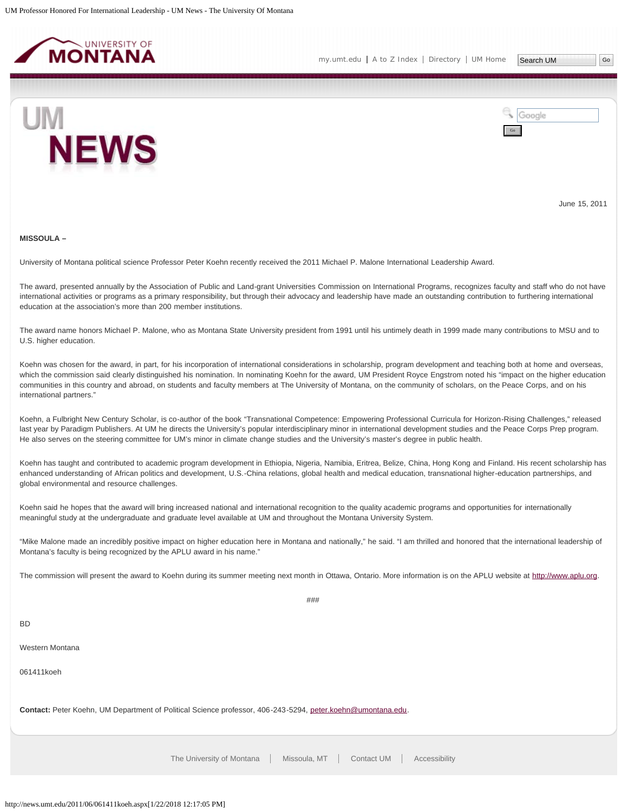<span id="page-20-0"></span>



June 15, 2011

#### **MISSOULA –**

University of Montana political science Professor Peter Koehn recently received the 2011 Michael P. Malone International Leadership Award.

The award, presented annually by the Association of Public and Land-grant Universities Commission on International Programs, recognizes faculty and staff who do not have international activities or programs as a primary responsibility, but through their advocacy and leadership have made an outstanding contribution to furthering international education at the association's more than 200 member institutions.

The award name honors Michael P. Malone, who as Montana State University president from 1991 until his untimely death in 1999 made many contributions to MSU and to U.S. higher education.

Koehn was chosen for the award, in part, for his incorporation of international considerations in scholarship, program development and teaching both at home and overseas, which the commission said clearly distinguished his nomination. In nominating Koehn for the award, UM President Royce Engstrom noted his "impact on the higher education communities in this country and abroad, on students and faculty members at The University of Montana, on the community of scholars, on the Peace Corps, and on his international partners."

Koehn, a Fulbright New Century Scholar, is co-author of the book "Transnational Competence: Empowering Professional Curricula for Horizon-Rising Challenges," released last year by Paradigm Publishers. At UM he directs the University's popular interdisciplinary minor in international development studies and the Peace Corps Prep program. He also serves on the steering committee for UM's minor in climate change studies and the University's master's degree in public health.

Koehn has taught and contributed to academic program development in Ethiopia, Nigeria, Namibia, Eritrea, Belize, China, Hong Kong and Finland. His recent scholarship has enhanced understanding of African politics and development, U.S.-China relations, global health and medical education, transnational higher-education partnerships, and global environmental and resource challenges.

Koehn said he hopes that the award will bring increased national and international recognition to the quality academic programs and opportunities for internationally meaningful study at the undergraduate and graduate level available at UM and throughout the Montana University System.

"Mike Malone made an incredibly positive impact on higher education here in Montana and nationally," he said. "I am thrilled and honored that the international leadership of Montana's faculty is being recognized by the APLU award in his name."

The commission will present the award to Koehn during its summer meeting next month in Ottawa, Ontario. More information is on the APLU website at [http://www.aplu.org](http://www.aplu.org/).

###

BD

Western Montana

061411koeh

**Contact:** Peter Koehn, UM Department of Political Science professor, 406-243-5294, [peter.koehn@umontana.edu](mailto:peter.koehn@umontana.edu).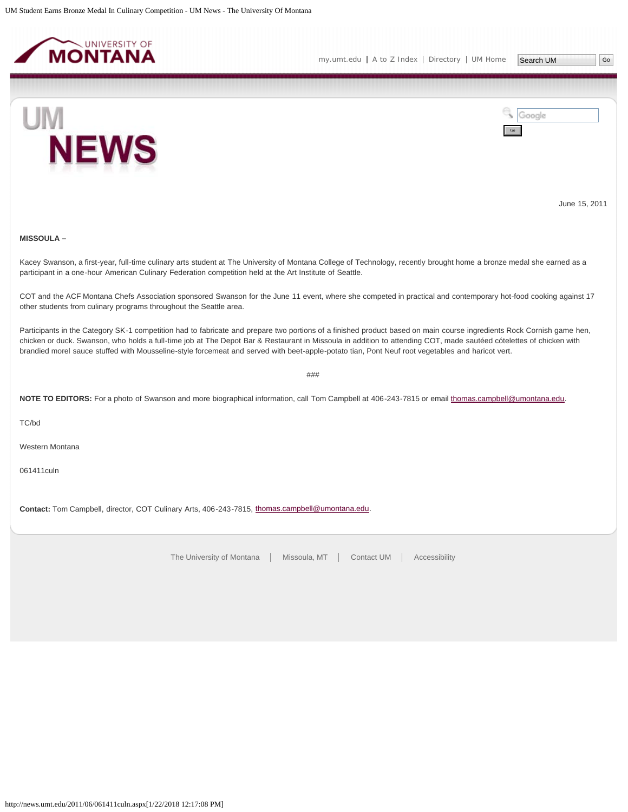<span id="page-22-0"></span>



June 15, 2011

# **MISSOULA –**

Kacey Swanson, a first-year, full-time culinary arts student at The University of Montana College of Technology, recently brought home a bronze medal she earned as a participant in a one-hour American Culinary Federation competition held at the Art Institute of Seattle.

COT and the ACF Montana Chefs Association sponsored Swanson for the June 11 event, where she competed in practical and contemporary hot-food cooking against 17 other students from culinary programs throughout the Seattle area.

Participants in the Category SK-1 competition had to fabricate and prepare two portions of a finished product based on main course ingredients Rock Cornish game hen, chicken or duck. Swanson, who holds a full-time job at The Depot Bar & Restaurant in Missoula in addition to attending COT, made sautéed cótelettes of chicken with brandied morel sauce stuffed with Mousseline-style forcemeat and served with beet-apple-potato tian, Pont Neuf root vegetables and haricot vert.

###

NOTE TO EDITORS: For a photo of Swanson and more biographical information, call Tom Campbell at 406-243-7815 or email [thomas.campbell@umontana.edu.](mailto:thomas.campbell@umontana.edu)

TC/bd

Western Montana

061411culn

**Contact:** Tom Campbell, director, COT Culinary Arts, 406-243-7815, [thomas.campbell@umontana.edu](mailto:thomas.campbell@umontana.edu).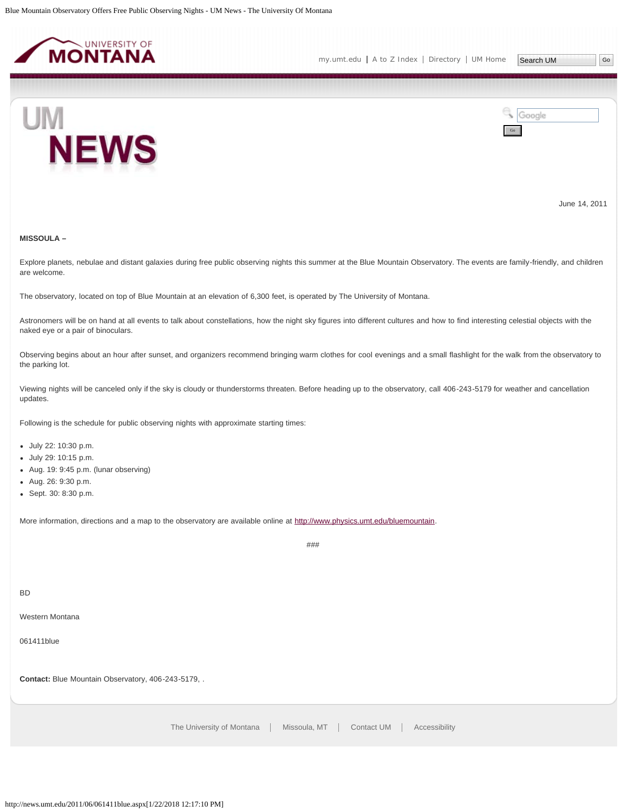<span id="page-23-0"></span>



June 14, 2011

# **MISSOULA –**

Explore planets, nebulae and distant galaxies during free public observing nights this summer at the Blue Mountain Observatory. The events are family-friendly, and children are welcome.

The observatory, located on top of Blue Mountain at an elevation of 6,300 feet, is operated by The University of Montana.

Astronomers will be on hand at all events to talk about constellations, how the night sky figures into different cultures and how to find interesting celestial objects with the naked eye or a pair of binoculars.

Observing begins about an hour after sunset, and organizers recommend bringing warm clothes for cool evenings and a small flashlight for the walk from the observatory to the parking lot.

Viewing nights will be canceled only if the sky is cloudy or thunderstorms threaten. Before heading up to the observatory, call 406-243-5179 for weather and cancellation updates.

Following is the schedule for public observing nights with approximate starting times:

- July 22: 10:30 p.m.
- July 29: 10:15 p.m.
- Aug. 19: 9:45 p.m. (lunar observing)
- Aug. 26: 9:30 p.m.
- Sept. 30: 8:30 p.m.

More information, directions and a map to the observatory are available online at<http://www.physics.umt.edu/bluemountain>.

###

BD

Western Montana

061411blue

**Contact:** Blue Mountain Observatory, 406-243-5179, .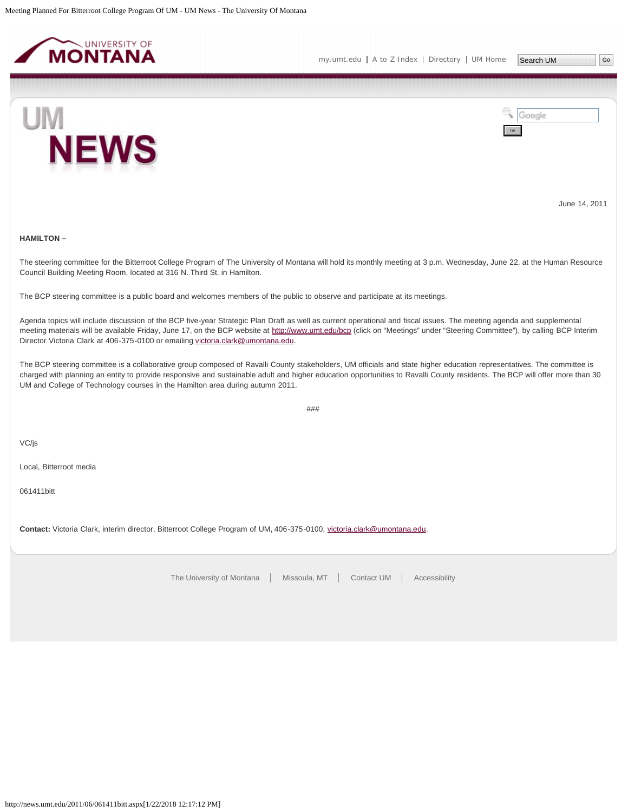<span id="page-24-0"></span>

[my.umt.edu](http://my.umt.edu/) | [A to Z Index](http://www.umt.edu/search/atoz/) | [Directory](http://www.umt.edu/directory/) | [UM Home](http://www.umt.edu/)

Go

Google



June 14, 2011

**HAMILTON –**

The steering committee for the Bitterroot College Program of The University of Montana will hold its monthly meeting at 3 p.m. Wednesday, June 22, at the Human Resource Council Building Meeting Room, located at 316 N. Third St. in Hamilton.

The BCP steering committee is a public board and welcomes members of the public to observe and participate at its meetings.

Agenda topics will include discussion of the BCP five-year Strategic Plan Draft as well as current operational and fiscal issues. The meeting agenda and supplemental meeting materials will be available Friday, June 17, on the BCP website at<http://www.umt.edu/bcp>(click on "Meetings" under "Steering Committee"), by calling BCP Interim Director Victoria Clark at 406-375-0100 or emailing [victoria.clark@umontana.edu.](mailto:victoria.clark@umontana.edu)

The BCP steering committee is a collaborative group composed of Ravalli County stakeholders, UM officials and state higher education representatives. The committee is charged with planning an entity to provide responsive and sustainable adult and higher education opportunities to Ravalli County residents. The BCP will offer more than 30 UM and College of Technology courses in the Hamilton area during autumn 2011.

###

VC/js

Local, Bitterroot media

061411bitt

**Contact:** Victoria Clark, interim director, Bitterroot College Program of UM, 406-375-0100, [victoria.clark@umontana.edu](mailto:victoria.clark@umontana.edu).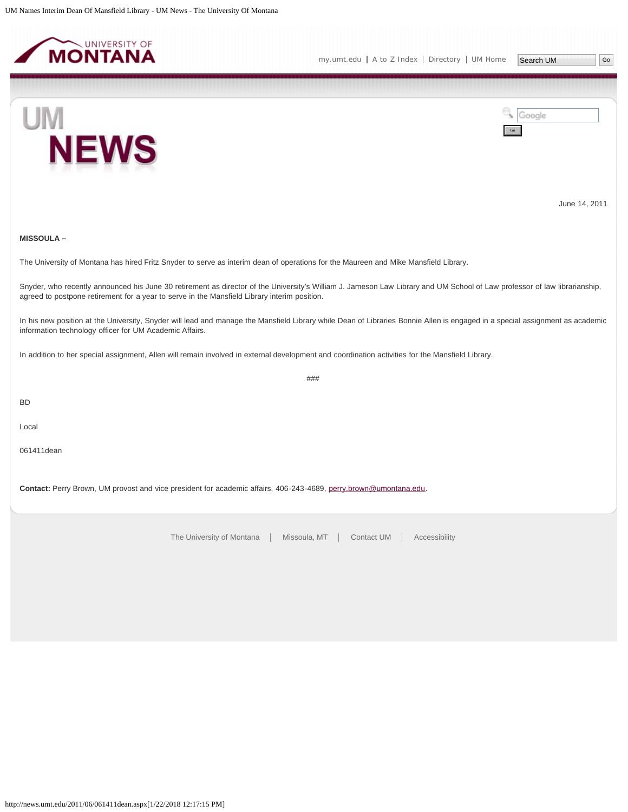<span id="page-25-0"></span>



June 14, 2011

## **MISSOULA –**

The University of Montana has hired Fritz Snyder to serve as interim dean of operations for the Maureen and Mike Mansfield Library.

Snyder, who recently announced his June 30 retirement as director of the University's William J. Jameson Law Library and UM School of Law professor of law librarianship, agreed to postpone retirement for a year to serve in the Mansfield Library interim position.

In his new position at the University, Snyder will lead and manage the Mansfield Library while Dean of Libraries Bonnie Allen is engaged in a special assignment as academic information technology officer for UM Academic Affairs.

###

In addition to her special assignment, Allen will remain involved in external development and coordination activities for the Mansfield Library.

BD

Local

061411dean

**Contact:** Perry Brown, UM provost and vice president for academic affairs, 406-243-4689, [perry.brown@umontana.edu.](mailto:perry.brown@umontana.edu)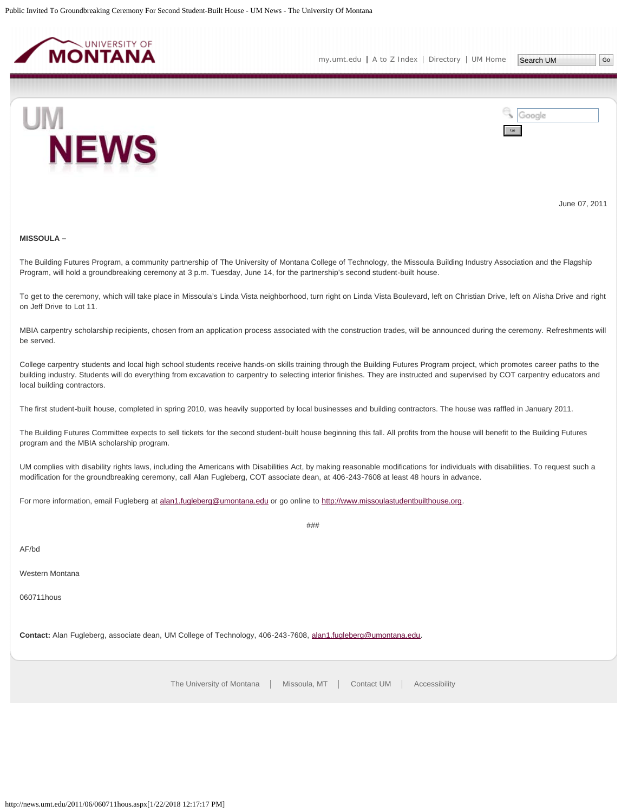<span id="page-26-0"></span>

[my.umt.edu](http://my.umt.edu/) | [A to Z Index](http://www.umt.edu/search/atoz/) | [Directory](http://www.umt.edu/directory/) | [UM Home](http://www.umt.edu/)



Google Go

June 07, 2011

#### **MISSOULA –**

The Building Futures Program, a community partnership of The University of Montana College of Technology, the Missoula Building Industry Association and the Flagship Program, will hold a groundbreaking ceremony at 3 p.m. Tuesday, June 14, for the partnership's second student-built house.

To get to the ceremony, which will take place in Missoula's Linda Vista neighborhood, turn right on Linda Vista Boulevard, left on Christian Drive, left on Alisha Drive and right on Jeff Drive to Lot 11.

MBIA carpentry scholarship recipients, chosen from an application process associated with the construction trades, will be announced during the ceremony. Refreshments will be served.

College carpentry students and local high school students receive hands-on skills training through the Building Futures Program project, which promotes career paths to the building industry. Students will do everything from excavation to carpentry to selecting interior finishes. They are instructed and supervised by COT carpentry educators and local building contractors.

The first student-built house, completed in spring 2010, was heavily supported by local businesses and building contractors. The house was raffled in January 2011.

The Building Futures Committee expects to sell tickets for the second student-built house beginning this fall. All profits from the house will benefit to the Building Futures program and the MBIA scholarship program.

UM complies with disability rights laws, including the Americans with Disabilities Act, by making reasonable modifications for individuals with disabilities. To request such a modification for the groundbreaking ceremony, call Alan Fugleberg, COT associate dean, at 406-243-7608 at least 48 hours in advance.

###

For more information, email Fugleberg at [alan1.fugleberg@umontana.edu](mailto:alan1.fugleberg@umontana.edu) or go online to [http://www.missoulastudentbuilthouse.org.](http://www.missoulastudentbuilthouse.org/)

AF/bd

Western Montana

060711hous

**Contact:** Alan Fugleberg, associate dean, UM College of Technology, 406-243-7608, [alan1.fugleberg@umontana.edu](mailto:alan1.fugleberg@umontana.edu).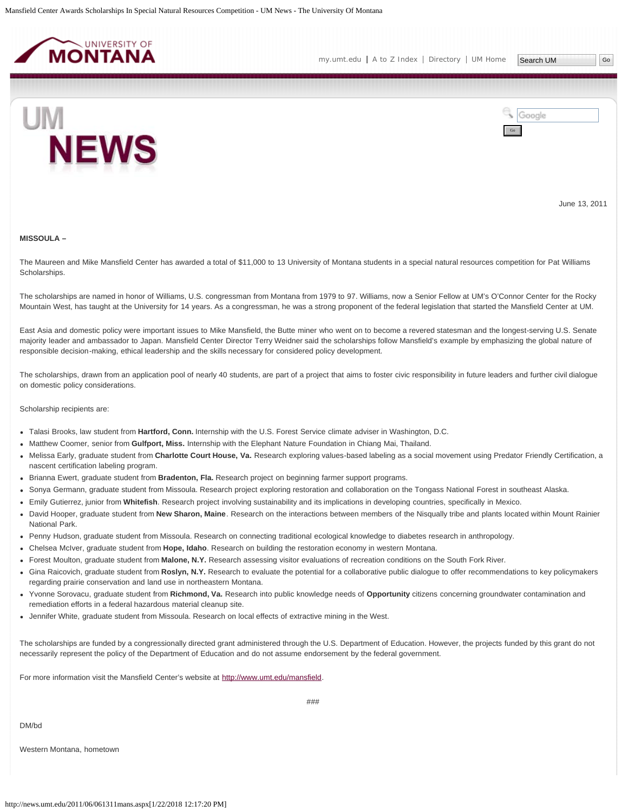<span id="page-27-0"></span>





June 13, 2011

#### **MISSOULA –**

The Maureen and Mike Mansfield Center has awarded a total of \$11,000 to 13 University of Montana students in a special natural resources competition for Pat Williams Scholarships.

The scholarships are named in honor of Williams, U.S. congressman from Montana from 1979 to 97. Williams, now a Senior Fellow at UM's O'Connor Center for the Rocky Mountain West, has taught at the University for 14 years. As a congressman, he was a strong proponent of the federal legislation that started the Mansfield Center at UM.

East Asia and domestic policy were important issues to Mike Mansfield, the Butte miner who went on to become a revered statesman and the longest-serving U.S. Senate majority leader and ambassador to Japan. Mansfield Center Director Terry Weidner said the scholarships follow Mansfield's example by emphasizing the global nature of responsible decision-making, ethical leadership and the skills necessary for considered policy development.

The scholarships, drawn from an application pool of nearly 40 students, are part of a project that aims to foster civic responsibility in future leaders and further civil dialogue on domestic policy considerations.

Scholarship recipients are:

- Talasi Brooks, law student from **Hartford, Conn.** Internship with the U.S. Forest Service climate adviser in Washington, D.C.
- Matthew Coomer, senior from **Gulfport, Miss.** Internship with the Elephant Nature Foundation in Chiang Mai, Thailand.
- Melissa Early, graduate student from **Charlotte Court House, Va.** Research exploring values-based labeling as a social movement using Predator Friendly Certification, a nascent certification labeling program.
- Brianna Ewert, graduate student from **Bradenton, Fla.** Research project on beginning farmer support programs.
- Sonya Germann, graduate student from Missoula. Research project exploring restoration and collaboration on the Tongass National Forest in southeast Alaska.
- Emily Gutierrez, junior from **Whitefish**. Research project involving sustainability and its implications in developing countries, specifically in Mexico.
- David Hooper, graduate student from **New Sharon, Maine**. Research on the interactions between members of the Nisqually tribe and plants located within Mount Rainier National Park.
- Penny Hudson, graduate student from Missoula. Research on connecting traditional ecological knowledge to diabetes research in anthropology.
- Chelsea McIver, graduate student from **Hope, Idaho**. Research on building the restoration economy in western Montana.
- Forest Moulton, graduate student from **Malone, N.Y.** Research assessing visitor evaluations of recreation conditions on the South Fork River.
- Gina Raicovich, graduate student from **Roslyn, N.Y.** Research to evaluate the potential for a collaborative public dialogue to offer recommendations to key policymakers regarding prairie conservation and land use in northeastern Montana.
- Yvonne Sorovacu, graduate student from **Richmond, Va.** Research into public knowledge needs of **Opportunity** citizens concerning groundwater contamination and remediation efforts in a federal hazardous material cleanup site.
- Jennifer White, graduate student from Missoula. Research on local effects of extractive mining in the West.

The scholarships are funded by a congressionally directed grant administered through the U.S. Department of Education. However, the projects funded by this grant do not necessarily represent the policy of the Department of Education and do not assume endorsement by the federal government.

###

For more information visit the Mansfield Center's website at<http://www.umt.edu/mansfield>.

DM/bd

Western Montana, hometown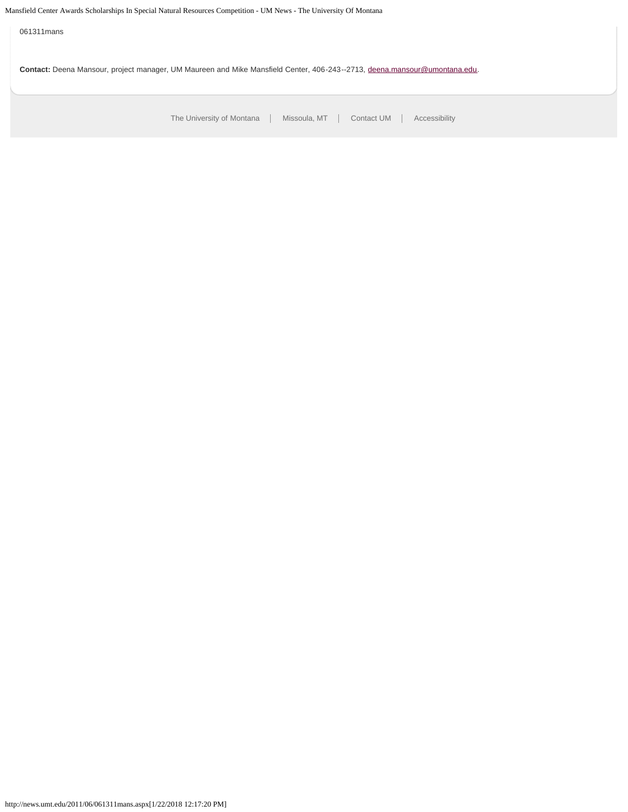Mansfield Center Awards Scholarships In Special Natural Resources Competition - UM News - The University Of Montana

[The University of Montana](http://www.umt.edu/) | Missoula, MT | [Contact UM](http://www.umt.edu/comments) | [Accessibility](http://www.umt.edu/home/accessibility) 061311mans **Contact:** Deena Mansour, project manager, UM Maureen and Mike Mansfield Center, 406-243--2713, [deena.mansour@umontana.edu.](mailto:deena.mansour@umontana.edu)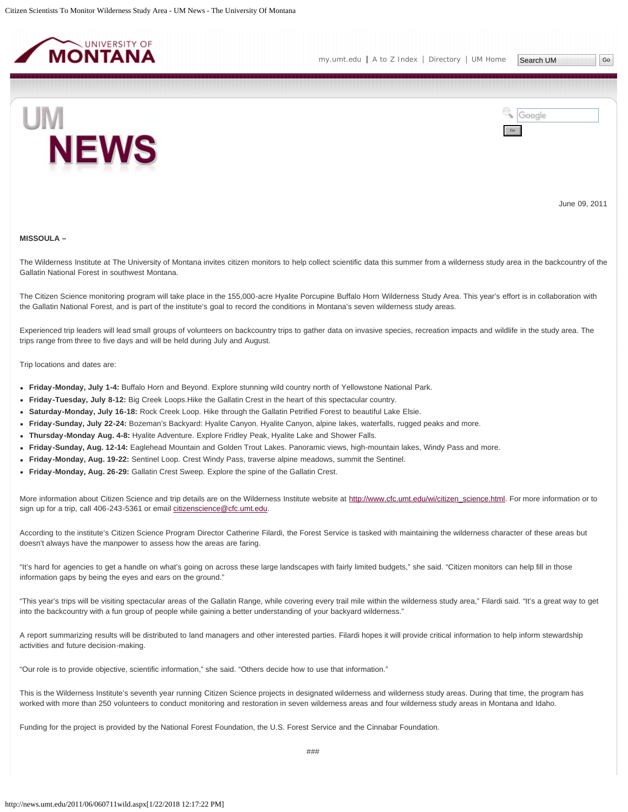<span id="page-29-0"></span>



June 09, 2011

#### **MISSOULA –**

The Wilderness Institute at The University of Montana invites citizen monitors to help collect scientific data this summer from a wilderness study area in the backcountry of the Gallatin National Forest in southwest Montana.

The Citizen Science monitoring program will take place in the 155,000-acre Hyalite Porcupine Buffalo Horn Wilderness Study Area. This year's effort is in collaboration with the Gallatin National Forest, and is part of the institute's goal to record the conditions in Montana's seven wilderness study areas.

Experienced trip leaders will lead small groups of volunteers on backcountry trips to gather data on invasive species, recreation impacts and wildlife in the study area. The trips range from three to five days and will be held during July and August.

Trip locations and dates are:

- **Friday-Monday, July 1-4:** Buffalo Horn and Beyond. Explore stunning wild country north of Yellowstone National Park.
- **Friday-Tuesday, July 8-12:** Big Creek Loops.Hike the Gallatin Crest in the heart of this spectacular country.
- **Saturday-Monday, July 16-18:** Rock Creek Loop. Hike through the Gallatin Petrified Forest to beautiful Lake Elsie.
- **Friday-Sunday, July 22-24:** Bozeman's Backyard: Hyalite Canyon. Hyalite Canyon, alpine lakes, waterfalls, rugged peaks and more.
- **Thursday-Monday Aug. 4-8:** Hyalite Adventure. Explore Fridley Peak, Hyalite Lake and Shower Falls.
- **Friday-Sunday, Aug. 12-14:** Eaglehead Mountain and Golden Trout Lakes. Panoramic views, high-mountain lakes, Windy Pass and more.
- **Friday-Monday, Aug. 19-22:** Sentinel Loop. Crest Windy Pass, traverse alpine meadows, summit the Sentinel.
- **Friday-Monday, Aug. 26-29:** Gallatin Crest Sweep. Explore the spine of the Gallatin Crest.

More information about Citizen Science and trip details are on the Wilderness Institute website at [http://www.cfc.umt.edu/wi/citizen\\_science.html](http://www.cfc.umt.edu/wi/citizen_science.html). For more information or to sign up for a trip, call 406-243-5361 or email [citizenscience@cfc.umt.edu.](mailto:citizenscience@cfc.umt.edu)

According to the institute's Citizen Science Program Director Catherine Filardi, the Forest Service is tasked with maintaining the wilderness character of these areas but doesn't always have the manpower to assess how the areas are faring.

"It's hard for agencies to get a handle on what's going on across these large landscapes with fairly limited budgets," she said. "Citizen monitors can help fill in those information gaps by being the eyes and ears on the ground."

"This year's trips will be visiting spectacular areas of the Gallatin Range, while covering every trail mile within the wilderness study area," Filardi said. "It's a great way to get into the backcountry with a fun group of people while gaining a better understanding of your backyard wilderness."

A report summarizing results will be distributed to land managers and other interested parties. Filardi hopes it will provide critical information to help inform stewardship activities and future decision-making.

"Our role is to provide objective, scientific information," she said. "Others decide how to use that information."

This is the Wilderness Institute's seventh year running Citizen Science projects in designated wilderness and wilderness study areas. During that time, the program has worked with more than 250 volunteers to conduct monitoring and restoration in seven wilderness areas and four wilderness study areas in Montana and Idaho.

Funding for the project is provided by the National Forest Foundation, the U.S. Forest Service and the Cinnabar Foundation.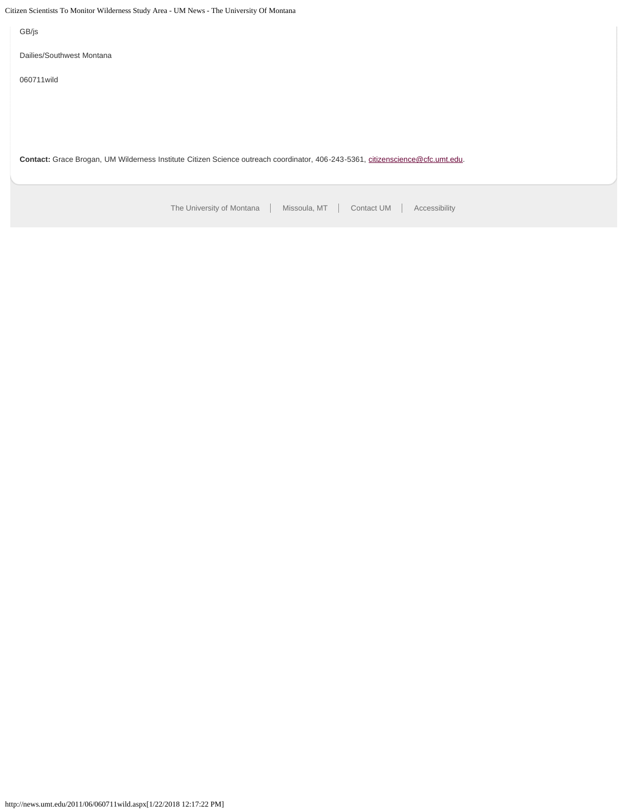Citizen Scientists To Monitor Wilderness Study Area - UM News - The University Of Montana

[The University of Montana](http://www.umt.edu/) | Missoula, MT | [Contact UM](http://www.umt.edu/comments) | [Accessibility](http://www.umt.edu/home/accessibility) GB/js Dailies/Southwest Montana 060711wild **Contact:** Grace Brogan, UM Wilderness Institute Citizen Science outreach coordinator, 406-243-5361, [citizenscience@cfc.umt.edu.](mailto:citizenscience@cfc.umt.edu)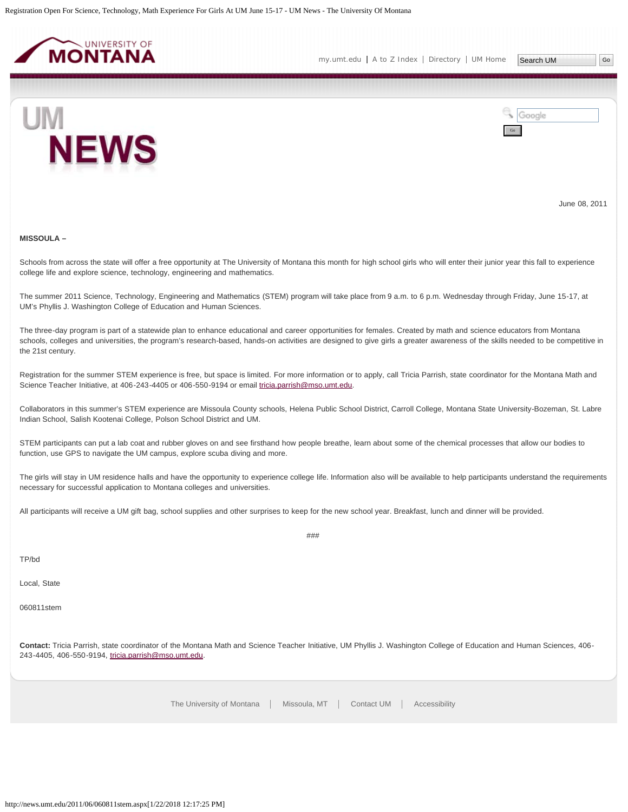<span id="page-31-0"></span>

[my.umt.edu](http://my.umt.edu/) | [A to Z Index](http://www.umt.edu/search/atoz/) | [Directory](http://www.umt.edu/directory/) | [UM Home](http://www.umt.edu/)

Search UM



Google Go

June 08, 2011

## **MISSOULA –**

Schools from across the state will offer a free opportunity at The University of Montana this month for high school girls who will enter their junior year this fall to experience college life and explore science, technology, engineering and mathematics.

The summer 2011 Science, Technology, Engineering and Mathematics (STEM) program will take place from 9 a.m. to 6 p.m. Wednesday through Friday, June 15-17, at UM's Phyllis J. Washington College of Education and Human Sciences.

The three-day program is part of a statewide plan to enhance educational and career opportunities for females. Created by math and science educators from Montana schools, colleges and universities, the program's research-based, hands-on activities are designed to give girls a greater awareness of the skills needed to be competitive in the 21st century.

Registration for the summer STEM experience is free, but space is limited. For more information or to apply, call Tricia Parrish, state coordinator for the Montana Math and Science Teacher Initiative, at 406-243-4405 or 406-550-9194 or email [tricia.parrish@mso.umt.edu.](mailto:tricia.parrish@mso.umt.edu)

Collaborators in this summer's STEM experience are Missoula County schools, Helena Public School District, Carroll College, Montana State University-Bozeman, St. Labre Indian School, Salish Kootenai College, Polson School District and UM.

STEM participants can put a lab coat and rubber gloves on and see firsthand how people breathe, learn about some of the chemical processes that allow our bodies to function, use GPS to navigate the UM campus, explore scuba diving and more.

The girls will stay in UM residence halls and have the opportunity to experience college life. Information also will be available to help participants understand the requirements necessary for successful application to Montana colleges and universities.

###

All participants will receive a UM gift bag, school supplies and other surprises to keep for the new school year. Breakfast, lunch and dinner will be provided.

TP/bd

Local, State

060811stem

**Contact:** Tricia Parrish, state coordinator of the Montana Math and Science Teacher Initiative, UM Phyllis J. Washington College of Education and Human Sciences, 406- 243-4405, 406-550-9194, [tricia.parrish@mso.umt.edu](mailto:tricia.parrish@mso.umt.edu).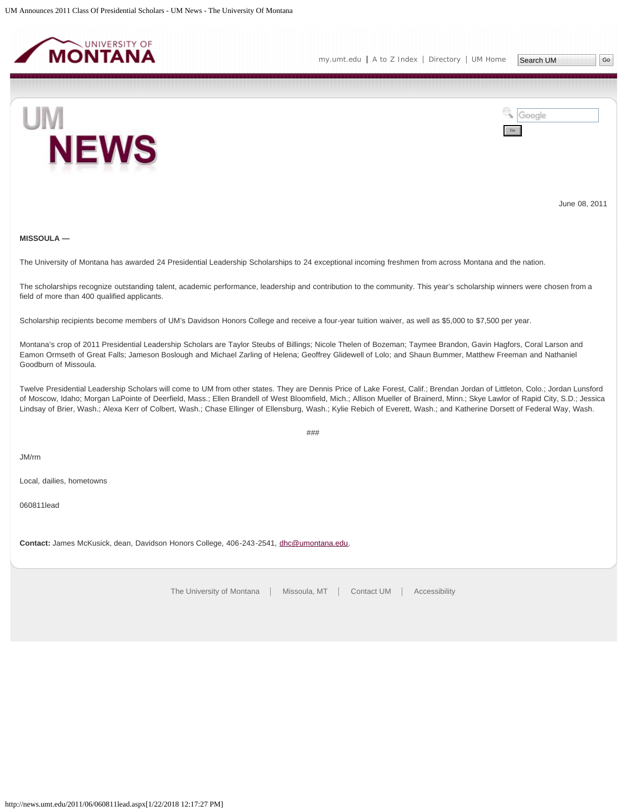<span id="page-32-0"></span>



June 08, 2011

# **MISSOULA —**

The University of Montana has awarded 24 Presidential Leadership Scholarships to 24 exceptional incoming freshmen from across Montana and the nation.

The scholarships recognize outstanding talent, academic performance, leadership and contribution to the community. This year's scholarship winners were chosen from a field of more than 400 qualified applicants.

Scholarship recipients become members of UM's Davidson Honors College and receive a four-year tuition waiver, as well as \$5,000 to \$7,500 per year.

Montana's crop of 2011 Presidential Leadership Scholars are Taylor Steubs of Billings; Nicole Thelen of Bozeman; Taymee Brandon, Gavin Hagfors, Coral Larson and Eamon Ormseth of Great Falls; Jameson Boslough and Michael Zarling of Helena; Geoffrey Glidewell of Lolo; and Shaun Bummer, Matthew Freeman and Nathaniel Goodburn of Missoula.

Twelve Presidential Leadership Scholars will come to UM from other states. They are Dennis Price of Lake Forest, Calif.; Brendan Jordan of Littleton, Colo.; Jordan Lunsford of Moscow, Idaho; Morgan LaPointe of Deerfield, Mass.; Ellen Brandell of West Bloomfield, Mich.; Allison Mueller of Brainerd, Minn.; Skye Lawlor of Rapid City, S.D.; Jessica Lindsay of Brier, Wash.; Alexa Kerr of Colbert, Wash.; Chase Ellinger of Ellensburg, Wash.; Kylie Rebich of Everett, Wash.; and Katherine Dorsett of Federal Way, Wash.

###

JM/rm

Local, dailies, hometowns

060811lead

**Contact:** James McKusick, dean, Davidson Honors College, 406-243-2541, [dhc@umontana.edu.](mailto:dhc@umontana.edu)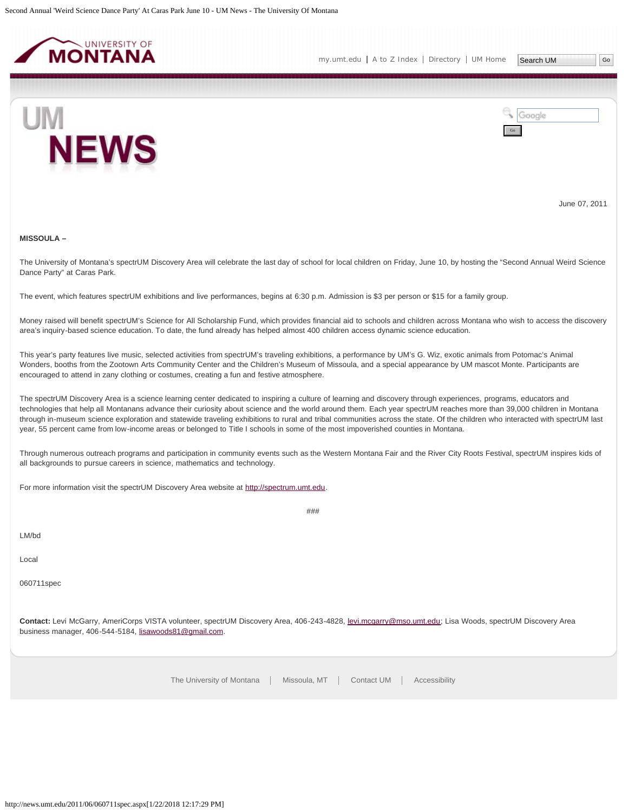<span id="page-33-0"></span>



June 07, 2011

#### **MISSOULA –**

The University of Montana's spectrUM Discovery Area will celebrate the last day of school for local children on Friday, June 10, by hosting the "Second Annual Weird Science Dance Party" at Caras Park.

The event, which features spectrUM exhibitions and live performances, begins at 6:30 p.m. Admission is \$3 per person or \$15 for a family group.

Money raised will benefit spectrUM's Science for All Scholarship Fund, which provides financial aid to schools and children across Montana who wish to access the discovery area's inquiry-based science education. To date, the fund already has helped almost 400 children access dynamic science education.

This year's party features live music, selected activities from spectrUM's traveling exhibitions, a performance by UM's G. Wiz, exotic animals from Potomac's Animal Wonders, booths from the Zootown Arts Community Center and the Children's Museum of Missoula, and a special appearance by UM mascot Monte. Participants are encouraged to attend in zany clothing or costumes, creating a fun and festive atmosphere.

The spectrUM Discovery Area is a science learning center dedicated to inspiring a culture of learning and discovery through experiences, programs, educators and technologies that help all Montanans advance their curiosity about science and the world around them. Each year spectrUM reaches more than 39,000 children in Montana through in-museum science exploration and statewide traveling exhibitions to rural and tribal communities across the state. Of the children who interacted with spectrUM last year, 55 percent came from low-income areas or belonged to Title I schools in some of the most impoverished counties in Montana.

Through numerous outreach programs and participation in community events such as the Western Montana Fair and the River City Roots Festival, spectrUM inspires kids of all backgrounds to pursue careers in science, mathematics and technology.

###

For more information visit the spectrUM Discovery Area website at [http://spectrum.umt.edu](http://spectrum.umt.edu/).

LM/bd

Local

060711spec

**Contact:** Levi McGarry, AmeriCorps VISTA volunteer, spectrUM Discovery Area, 406-243-4828, [levi.mcgarry@mso.umt.edu;](mailto:levi.mcgarry@mso.umt.edu) Lisa Woods, spectrUM Discovery Area business manager, 406-544-5184, [lisawoods81@gmail.com.](mailto:lisawoods81@gmail.com)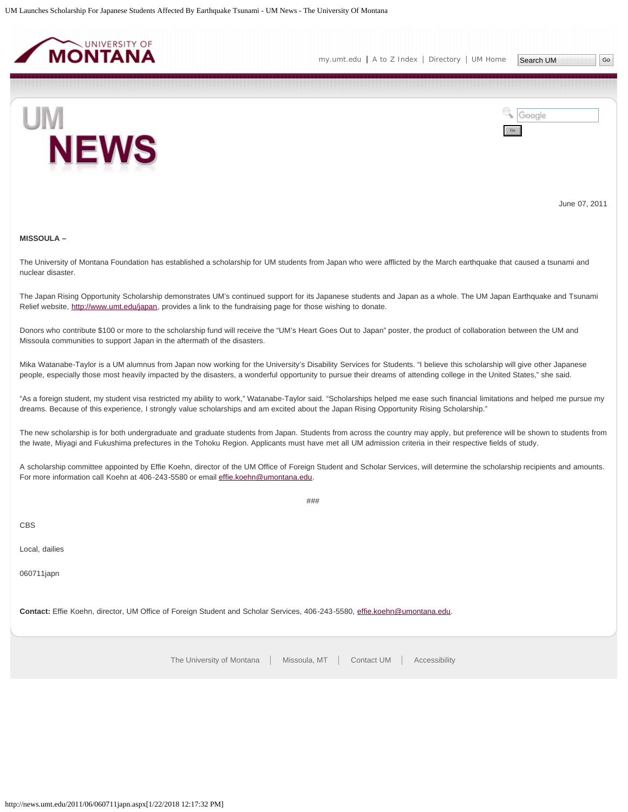<span id="page-34-0"></span>

[my.umt.edu](http://my.umt.edu/) | [A to Z Index](http://www.umt.edu/search/atoz/) | [Directory](http://www.umt.edu/directory/) | [UM Home](http://www.umt.edu/)

Search UM



Google Go

June 07, 2011

#### **MISSOULA –**

The University of Montana Foundation has established a scholarship for UM students from Japan who were afflicted by the March earthquake that caused a tsunami and nuclear disaster.

The Japan Rising Opportunity Scholarship demonstrates UM's continued support for its Japanese students and Japan as a whole. The UM Japan Earthquake and Tsunami Relief website, [http://www.umt.edu/japan,](http://www.umt.edu/japan) provides a link to the fundraising page for those wishing to donate.

Donors who contribute \$100 or more to the scholarship fund will receive the "UM's Heart Goes Out to Japan" poster, the product of collaboration between the UM and Missoula communities to support Japan in the aftermath of the disasters.

Mika Watanabe-Taylor is a UM alumnus from Japan now working for the University's Disability Services for Students. "I believe this scholarship will give other Japanese people, especially those most heavily impacted by the disasters, a wonderful opportunity to pursue their dreams of attending college in the United States," she said.

"As a foreign student, my student visa restricted my ability to work," Watanabe-Taylor said. "Scholarships helped me ease such financial limitations and helped me pursue my dreams. Because of this experience, I strongly value scholarships and am excited about the Japan Rising Opportunity Rising Scholarship."

The new scholarship is for both undergraduate and graduate students from Japan. Students from across the country may apply, but preference will be shown to students from the Iwate, Miyagi and Fukushima prefectures in the Tohoku Region. Applicants must have met all UM admission criteria in their respective fields of study.

A scholarship committee appointed by Effie Koehn, director of the UM Office of Foreign Student and Scholar Services, will determine the scholarship recipients and amounts. For more information call Koehn at 406-243-5580 or email [effie.koehn@umontana.edu](mailto:effie.koehn@umontana.edu).

###

CBS

Local, dailies

060711japn

**Contact:** Effie Koehn, director, UM Office of Foreign Student and Scholar Services, 406-243-5580, [effie.koehn@umontana.edu](mailto:effie.koehn@umontana.edu).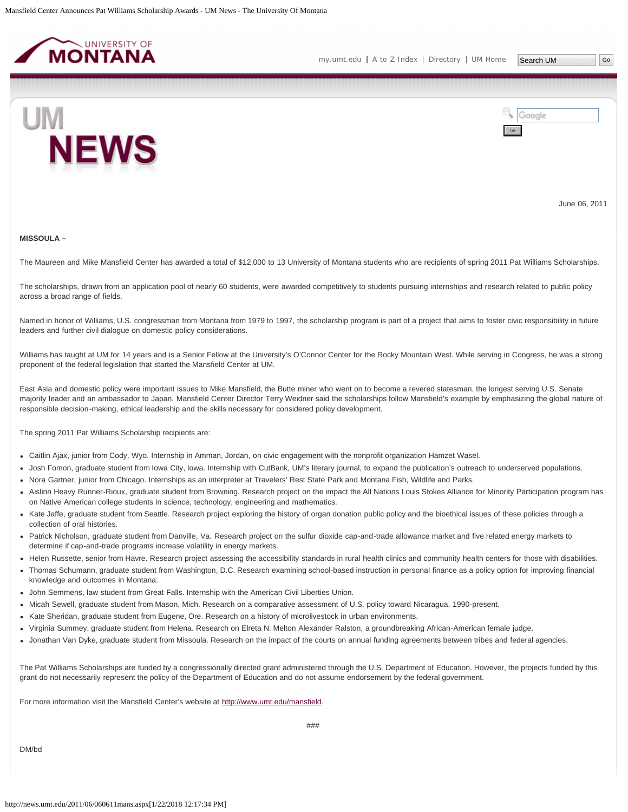<span id="page-35-0"></span>

Go

Google



June 06, 2011

#### **MISSOULA –**

The Maureen and Mike Mansfield Center has awarded a total of \$12,000 to 13 University of Montana students who are recipients of spring 2011 Pat Williams Scholarships.

The scholarships, drawn from an application pool of nearly 60 students, were awarded competitively to students pursuing internships and research related to public policy across a broad range of fields.

Named in honor of Williams, U.S. congressman from Montana from 1979 to 1997, the scholarship program is part of a project that aims to foster civic responsibility in future leaders and further civil dialogue on domestic policy considerations.

Williams has taught at UM for 14 years and is a Senior Fellow at the University's O'Connor Center for the Rocky Mountain West. While serving in Congress, he was a strong proponent of the federal legislation that started the Mansfield Center at UM.

East Asia and domestic policy were important issues to Mike Mansfield, the Butte miner who went on to become a revered statesman, the longest serving U.S. Senate majority leader and an ambassador to Japan. Mansfield Center Director Terry Weidner said the scholarships follow Mansfield's example by emphasizing the global nature of responsible decision-making, ethical leadership and the skills necessary for considered policy development.

The spring 2011 Pat Williams Scholarship recipients are:

- Caitlin Ajax, junior from Cody, Wyo. Internship in Amman, Jordan, on civic engagement with the nonprofit organization Hamzet Wasel.
- Josh Fomon, graduate student from Iowa City, Iowa. Internship with CutBank, UM's literary journal, to expand the publication's outreach to underserved populations.
- Nora Gartner, junior from Chicago. Internships as an interpreter at Travelers' Rest State Park and Montana Fish, Wildlife and Parks.
- Aislinn Heavy Runner-Rioux, graduate student from Browning. Research project on the impact the All Nations Louis Stokes Alliance for Minority Participation program has on Native American college students in science, technology, engineering and mathematics.
- Kate Jaffe, graduate student from Seattle. Research project exploring the history of organ donation public policy and the bioethical issues of these policies through a collection of oral histories.
- Patrick Nicholson, graduate student from Danville, Va. Research project on the sulfur dioxide cap-and-trade allowance market and five related energy markets to determine if cap-and-trade programs increase volatility in energy markets.
- Helen Russette, senior from Havre. Research project assessing the accessibility standards in rural health clinics and community health centers for those with disabilities.
- Thomas Schumann, graduate student from Washington, D.C. Research examining school-based instruction in personal finance as a policy option for improving financial knowledge and outcomes in Montana.
- John Semmens, law student from Great Falls. Internship with the American Civil Liberties Union.
- Micah Sewell, graduate student from Mason, Mich. Research on a comparative assessment of U.S. policy toward Nicaragua, 1990-present.
- Kate Sheridan, graduate student from Eugene, Ore. Research on a history of microlivestock in urban environments.
- Virginia Summey, graduate student from Helena. Research on Elreta N. Melton Alexander Ralston, a groundbreaking African-American female judge.
- Jonathan Van Dyke, graduate student from Missoula. Research on the impact of the courts on annual funding agreements between tribes and federal agencies.

The Pat Williams Scholarships are funded by a congressionally directed grant administered through the U.S. Department of Education. However, the projects funded by this grant do not necessarily represent the policy of the Department of Education and do not assume endorsement by the federal government.

For more information visit the Mansfield Center's website at<http://www.umt.edu/mansfield>.

DM/bd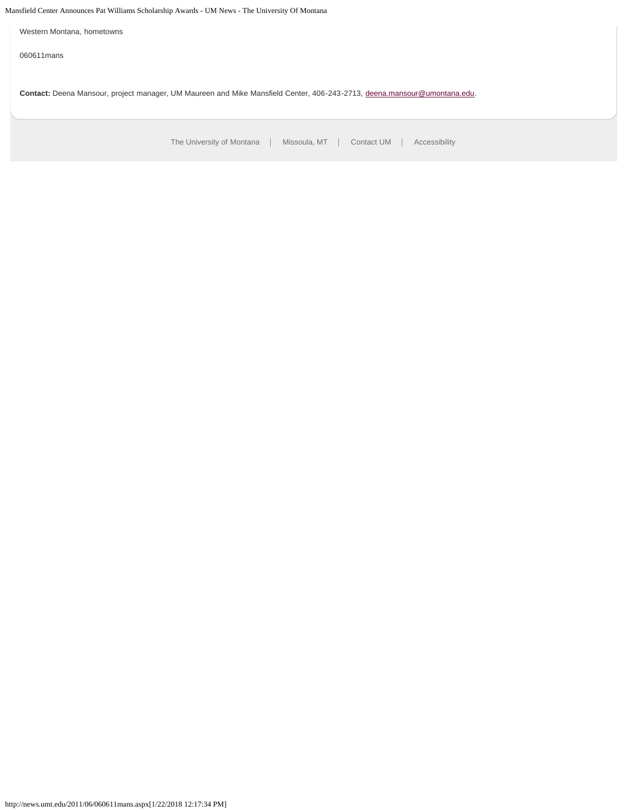# Mansfield Center Announces Pat Williams Scholarship Awards - UM News - The University Of Montana

Western Montana, hometowns

060611mans

**Contact:** Deena Mansour, project manager, UM Maureen and Mike Mansfield Center, 406-243-2713, [deena.mansour@umontana.edu](mailto:deena.mansour@umontana.edu).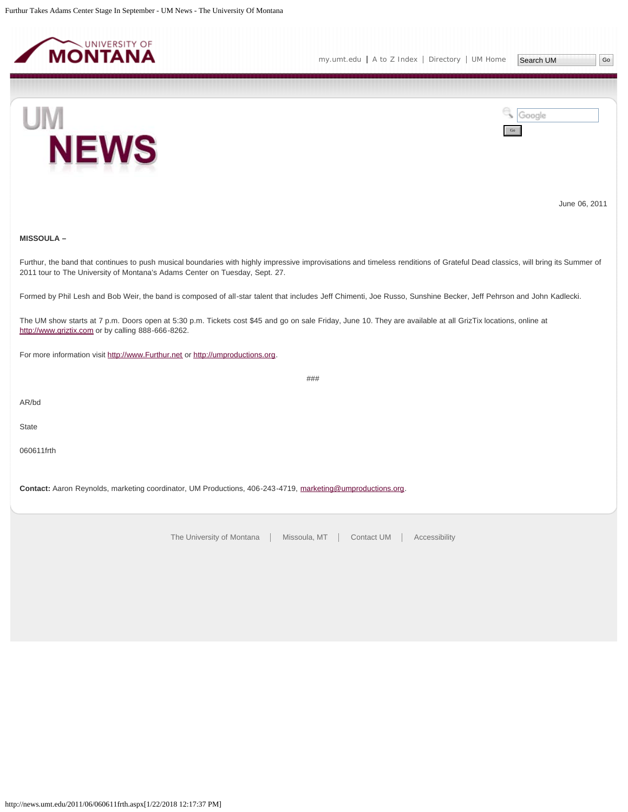<span id="page-37-0"></span>



June 06, 2011

# **MISSOULA –**

Furthur, the band that continues to push musical boundaries with highly impressive improvisations and timeless renditions of Grateful Dead classics, will bring its Summer of 2011 tour to The University of Montana's Adams Center on Tuesday, Sept. 27.

###

Formed by Phil Lesh and Bob Weir, the band is composed of all-star talent that includes Jeff Chimenti, Joe Russo, Sunshine Becker, Jeff Pehrson and John Kadlecki.

The UM show starts at 7 p.m. Doors open at 5:30 p.m. Tickets cost \$45 and go on sale Friday, June 10. They are available at all GrizTix locations, online at [http://www.griztix.com](http://www.griztix.com/) or by calling 888-666-8262.

For more information visit [http://www.Furthur.net](http://www.furthur.net/) or [http://umproductions.org.](http://umproductions.org/)

AR/bd

**State** 

060611frth

**Contact:** Aaron Reynolds, marketing coordinator, UM Productions, 406-243-4719, [marketing@umproductions.org.](mailto:marketing@umproductions.org)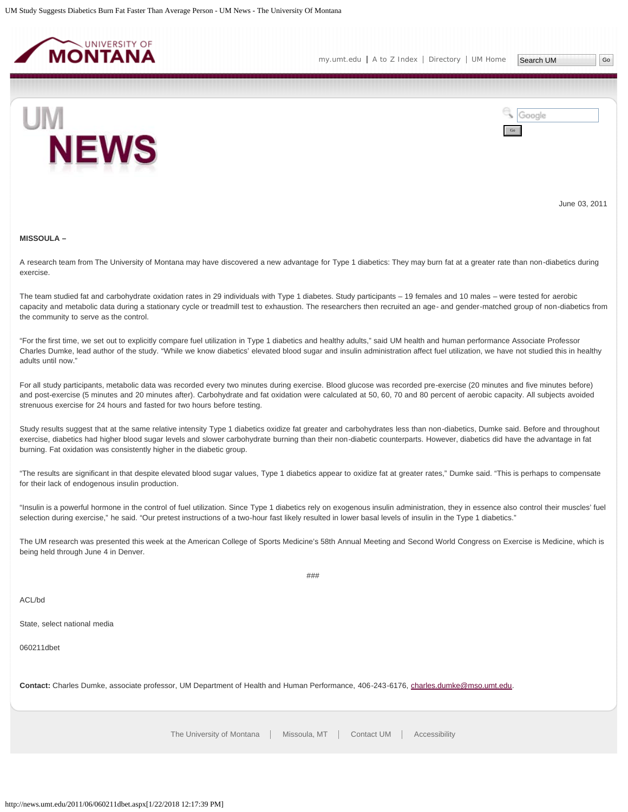<span id="page-38-0"></span>



June 03, 2011

#### **MISSOULA –**

A research team from The University of Montana may have discovered a new advantage for Type 1 diabetics: They may burn fat at a greater rate than non-diabetics during exercise.

The team studied fat and carbohydrate oxidation rates in 29 individuals with Type 1 diabetes. Study participants – 19 females and 10 males – were tested for aerobic capacity and metabolic data during a stationary cycle or treadmill test to exhaustion. The researchers then recruited an age- and gender-matched group of non-diabetics from the community to serve as the control.

"For the first time, we set out to explicitly compare fuel utilization in Type 1 diabetics and healthy adults," said UM health and human performance Associate Professor Charles Dumke, lead author of the study. "While we know diabetics' elevated blood sugar and insulin administration affect fuel utilization, we have not studied this in healthy adults until now."

For all study participants, metabolic data was recorded every two minutes during exercise. Blood glucose was recorded pre-exercise (20 minutes and five minutes before) and post-exercise (5 minutes and 20 minutes after). Carbohydrate and fat oxidation were calculated at 50, 60, 70 and 80 percent of aerobic capacity. All subjects avoided strenuous exercise for 24 hours and fasted for two hours before testing.

Study results suggest that at the same relative intensity Type 1 diabetics oxidize fat greater and carbohydrates less than non-diabetics, Dumke said. Before and throughout exercise, diabetics had higher blood sugar levels and slower carbohydrate burning than their non-diabetic counterparts. However, diabetics did have the advantage in fat burning. Fat oxidation was consistently higher in the diabetic group.

"The results are significant in that despite elevated blood sugar values, Type 1 diabetics appear to oxidize fat at greater rates," Dumke said. "This is perhaps to compensate for their lack of endogenous insulin production.

"Insulin is a powerful hormone in the control of fuel utilization. Since Type 1 diabetics rely on exogenous insulin administration, they in essence also control their muscles' fuel selection during exercise," he said. "Our pretest instructions of a two-hour fast likely resulted in lower basal levels of insulin in the Type 1 diabetics."

The UM research was presented this week at the American College of Sports Medicine's 58th Annual Meeting and Second World Congress on Exercise is Medicine, which is being held through June 4 in Denver.

###

ACL/bd

State, select national media

060211dbet

**Contact:** Charles Dumke, associate professor, UM Department of Health and Human Performance, 406-243-6176, [charles.dumke@mso.umt.edu.](mailto:charles.dumke@mso.umt.edu)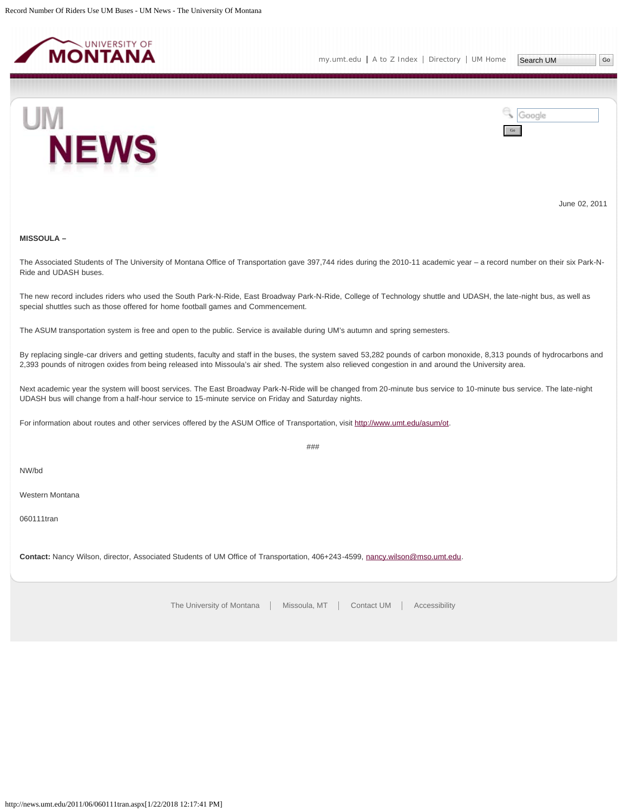<span id="page-39-0"></span>

Search UM |Go



Google Go

June 02, 2011

# **MISSOULA –**

The Associated Students of The University of Montana Office of Transportation gave 397,744 rides during the 2010-11 academic year – a record number on their six Park-N-Ride and UDASH buses.

The new record includes riders who used the South Park-N-Ride, East Broadway Park-N-Ride, College of Technology shuttle and UDASH, the late-night bus, as well as special shuttles such as those offered for home football games and Commencement.

The ASUM transportation system is free and open to the public. Service is available during UM's autumn and spring semesters.

By replacing single-car drivers and getting students, faculty and staff in the buses, the system saved 53,282 pounds of carbon monoxide, 8,313 pounds of hydrocarbons and 2,393 pounds of nitrogen oxides from being released into Missoula's air shed. The system also relieved congestion in and around the University area.

Next academic year the system will boost services. The East Broadway Park-N-Ride will be changed from 20-minute bus service to 10-minute bus service. The late-night UDASH bus will change from a half-hour service to 15-minute service on Friday and Saturday nights.

###

For information about routes and other services offered by the ASUM Office of Transportation, visit [http://www.umt.edu/asum/ot.](http://www.umt.edu/asum/ot)

NW/bd

Western Montana

060111tran

**Contact:** Nancy Wilson, director, Associated Students of UM Office of Transportation, 406+243-4599, [nancy.wilson@mso.umt.edu](mailto:nancy.wilson@mso.umt.edu).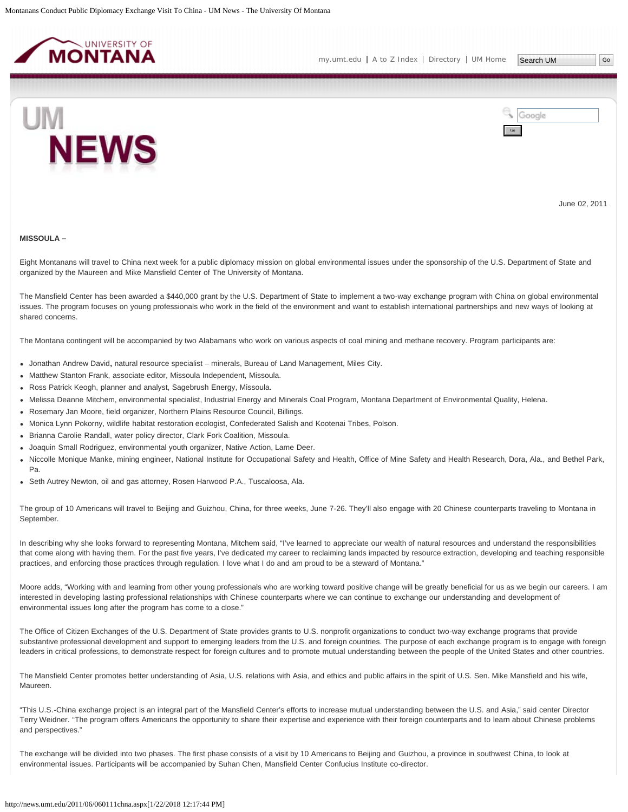<span id="page-40-0"></span>



June 02, 2011

#### **MISSOULA –**

Eight Montanans will travel to China next week for a public diplomacy mission on global environmental issues under the sponsorship of the U.S. Department of State and organized by the Maureen and Mike Mansfield Center of The University of Montana.

The Mansfield Center has been awarded a \$440,000 grant by the U.S. Department of State to implement a two-way exchange program with China on global environmental issues. The program focuses on young professionals who work in the field of the environment and want to establish international partnerships and new ways of looking at shared concerns.

The Montana contingent will be accompanied by two Alabamans who work on various aspects of coal mining and methane recovery. Program participants are:

- Jonathan Andrew David**,** natural resource specialist minerals, Bureau of Land Management, Miles City.
- Matthew Stanton Frank, associate editor, Missoula Independent, Missoula.
- Ross Patrick Keogh, planner and analyst, Sagebrush Energy, Missoula.
- Melissa Deanne Mitchem, environmental specialist, Industrial Energy and Minerals Coal Program, Montana Department of Environmental Quality, Helena.
- Rosemary Jan Moore, field organizer, Northern Plains Resource Council, Billings.
- Monica Lynn Pokorny, wildlife habitat restoration ecologist, Confederated Salish and Kootenai Tribes, Polson.
- Brianna Carolie Randall, water policy director, Clark Fork Coalition, Missoula.
- Joaquin Small Rodriguez, environmental youth organizer, Native Action, Lame Deer.
- Niccolle Monique Manke, mining engineer, National Institute for Occupational Safety and Health, Office of Mine Safety and Health Research, Dora, Ala., and Bethel Park, Pa.
- Seth Autrey Newton, oil and gas attorney, Rosen Harwood P.A., Tuscaloosa, Ala.

The group of 10 Americans will travel to Beijing and Guizhou, China, for three weeks, June 7-26. They'll also engage with 20 Chinese counterparts traveling to Montana in September.

In describing why she looks forward to representing Montana, Mitchem said, "I've learned to appreciate our wealth of natural resources and understand the responsibilities that come along with having them. For the past five years, I've dedicated my career to reclaiming lands impacted by resource extraction, developing and teaching responsible practices, and enforcing those practices through regulation. I love what I do and am proud to be a steward of Montana."

Moore adds, "Working with and learning from other young professionals who are working toward positive change will be greatly beneficial for us as we begin our careers. I am interested in developing lasting professional relationships with Chinese counterparts where we can continue to exchange our understanding and development of environmental issues long after the program has come to a close."

The Office of Citizen Exchanges of the U.S. Department of State provides grants to U.S. nonprofit organizations to conduct two-way exchange programs that provide substantive professional development and support to emerging leaders from the U.S. and foreign countries. The purpose of each exchange program is to engage with foreign leaders in critical professions, to demonstrate respect for foreign cultures and to promote mutual understanding between the people of the United States and other countries.

The Mansfield Center promotes better understanding of Asia, U.S. relations with Asia, and ethics and public affairs in the spirit of U.S. Sen. Mike Mansfield and his wife, Maureen.

"This U.S.-China exchange project is an integral part of the Mansfield Center's efforts to increase mutual understanding between the U.S. and Asia," said center Director Terry Weidner. "The program offers Americans the opportunity to share their expertise and experience with their foreign counterparts and to learn about Chinese problems and perspectives."

The exchange will be divided into two phases. The first phase consists of a visit by 10 Americans to Beijing and Guizhou, a province in southwest China, to look at environmental issues. Participants will be accompanied by Suhan Chen, Mansfield Center Confucius Institute co-director.